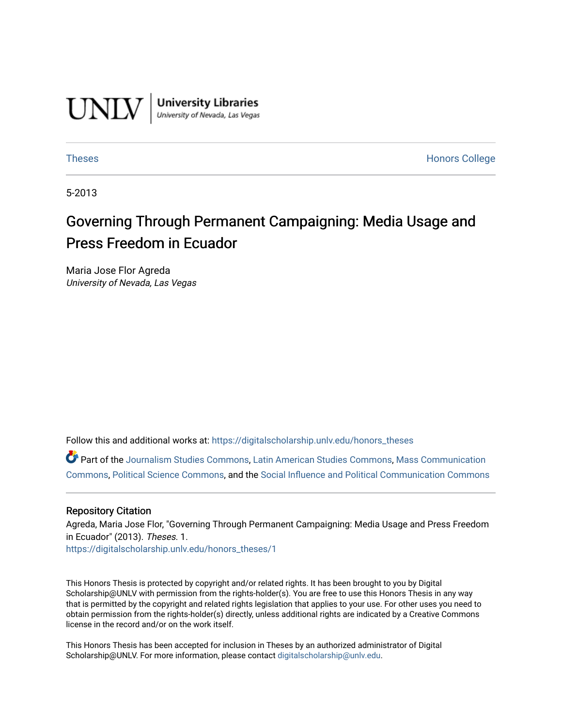

**University Libraries**<br>University of Nevada, Las Vegas

[Theses](https://digitalscholarship.unlv.edu/honors_theses) **Honors College** [Honors College](https://digitalscholarship.unlv.edu/honors) **Honors College** 

5-2013

# Governing Through Permanent Campaigning: Media Usage and Press Freedom in Ecuador

Maria Jose Flor Agreda University of Nevada, Las Vegas

Follow this and additional works at: [https://digitalscholarship.unlv.edu/honors\\_theses](https://digitalscholarship.unlv.edu/honors_theses?utm_source=digitalscholarship.unlv.edu%2Fhonors_theses%2F1&utm_medium=PDF&utm_campaign=PDFCoverPages) 

Part of the [Journalism Studies Commons](http://network.bepress.com/hgg/discipline/333?utm_source=digitalscholarship.unlv.edu%2Fhonors_theses%2F1&utm_medium=PDF&utm_campaign=PDFCoverPages), [Latin American Studies Commons](http://network.bepress.com/hgg/discipline/363?utm_source=digitalscholarship.unlv.edu%2Fhonors_theses%2F1&utm_medium=PDF&utm_campaign=PDFCoverPages), [Mass Communication](http://network.bepress.com/hgg/discipline/334?utm_source=digitalscholarship.unlv.edu%2Fhonors_theses%2F1&utm_medium=PDF&utm_campaign=PDFCoverPages) [Commons](http://network.bepress.com/hgg/discipline/334?utm_source=digitalscholarship.unlv.edu%2Fhonors_theses%2F1&utm_medium=PDF&utm_campaign=PDFCoverPages), [Political Science Commons](http://network.bepress.com/hgg/discipline/386?utm_source=digitalscholarship.unlv.edu%2Fhonors_theses%2F1&utm_medium=PDF&utm_campaign=PDFCoverPages), and the [Social Influence and Political Communication Commons](http://network.bepress.com/hgg/discipline/337?utm_source=digitalscholarship.unlv.edu%2Fhonors_theses%2F1&utm_medium=PDF&utm_campaign=PDFCoverPages) 

#### Repository Citation

Agreda, Maria Jose Flor, "Governing Through Permanent Campaigning: Media Usage and Press Freedom in Ecuador" (2013). Theses. 1. [https://digitalscholarship.unlv.edu/honors\\_theses/1](https://digitalscholarship.unlv.edu/honors_theses/1?utm_source=digitalscholarship.unlv.edu%2Fhonors_theses%2F1&utm_medium=PDF&utm_campaign=PDFCoverPages) 

This Honors Thesis is protected by copyright and/or related rights. It has been brought to you by Digital Scholarship@UNLV with permission from the rights-holder(s). You are free to use this Honors Thesis in any way that is permitted by the copyright and related rights legislation that applies to your use. For other uses you need to obtain permission from the rights-holder(s) directly, unless additional rights are indicated by a Creative Commons license in the record and/or on the work itself.

This Honors Thesis has been accepted for inclusion in Theses by an authorized administrator of Digital Scholarship@UNLV. For more information, please contact [digitalscholarship@unlv.edu.](mailto:digitalscholarship@unlv.edu)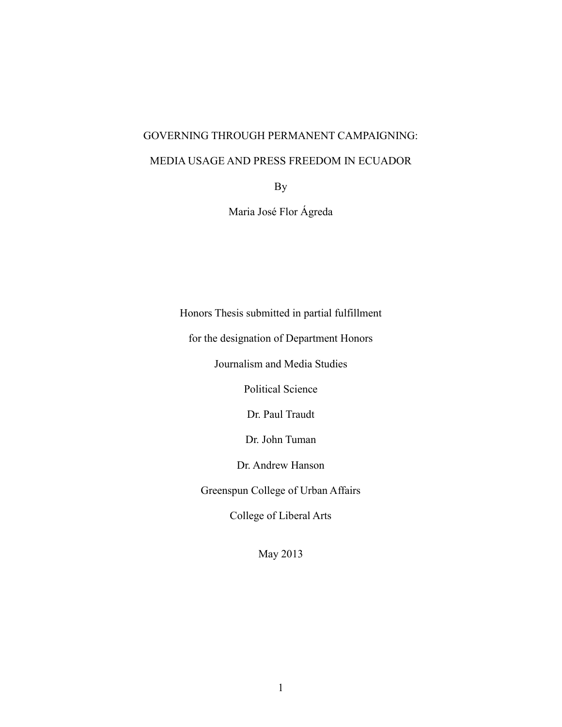## GOVERNING THROUGH PERMANENT CAMPAIGNING:

### MEDIA USAGE AND PRESS FREEDOM IN ECUADOR

By

Maria José Flor Ágreda

Honors Thesis submitted in partial fulfillment

for the designation of Department Honors

Journalism and Media Studies

Political Science

Dr. Paul Traudt

Dr. John Tuman

Dr. Andrew Hanson

Greenspun College of Urban Affairs

College of Liberal Arts

May 2013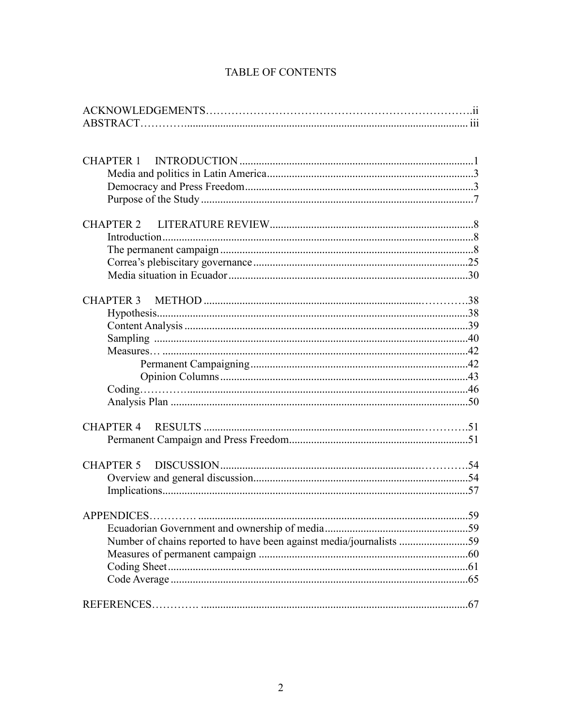| Number of chains reported to have been against media/journalists 59 |  |
|---------------------------------------------------------------------|--|
|                                                                     |  |
|                                                                     |  |
|                                                                     |  |
|                                                                     |  |
|                                                                     |  |

## **TABLE OF CONTENTS**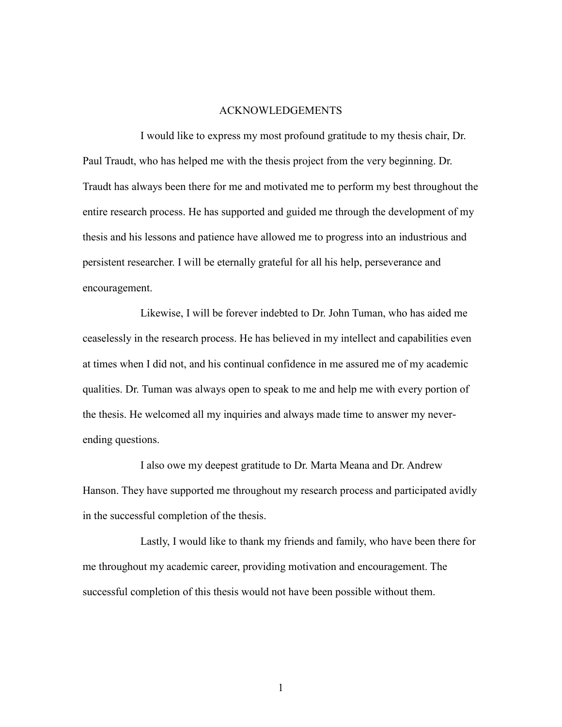#### ACKNOWLEDGEMENTS

I would like to express my most profound gratitude to my thesis chair, Dr. Paul Traudt, who has helped me with the thesis project from the very beginning. Dr. Traudt has always been there for me and motivated me to perform my best throughout the entire research process. He has supported and guided me through the development of my thesis and his lessons and patience have allowed me to progress into an industrious and persistent researcher. I will be eternally grateful for all his help, perseverance and encouragement.

Likewise, I will be forever indebted to Dr. John Tuman, who has aided me ceaselessly in the research process. He has believed in my intellect and capabilities even at times when I did not, and his continual confidence in me assured me of my academic qualities. Dr. Tuman was always open to speak to me and help me with every portion of the thesis. He welcomed all my inquiries and always made time to answer my neverending questions.

I also owe my deepest gratitude to Dr. Marta Meana and Dr. Andrew Hanson. They have supported me throughout my research process and participated avidly in the successful completion of the thesis.

Lastly, I would like to thank my friends and family, who have been there for me throughout my academic career, providing motivation and encouragement. The successful completion of this thesis would not have been possible without them.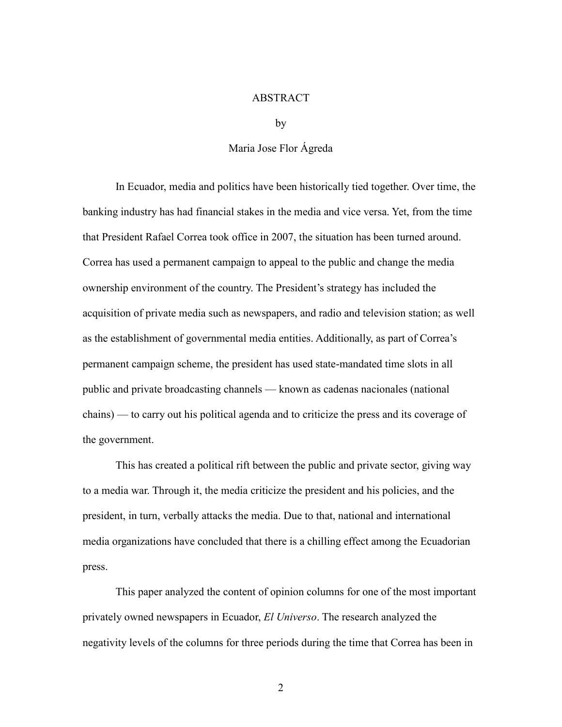#### ABSTRACT

by

#### Maria Jose Flor Ágreda

In Ecuador, media and politics have been historically tied together. Over time, the banking industry has had financial stakes in the media and vice versa. Yet, from the time that President Rafael Correa took office in 2007, the situation has been turned around. Correa has used a permanent campaign to appeal to the public and change the media ownership environment of the country. The President's strategy has included the acquisition of private media such as newspapers, and radio and television station; as well as the establishment of governmental media entities. Additionally, as part of Correa's permanent campaign scheme, the president has used state-mandated time slots in all public and private broadcasting channels — known as cadenas nacionales (national chains) — to carry out his political agenda and to criticize the press and its coverage of the government.

This has created a political rift between the public and private sector, giving way to a media war. Through it, the media criticize the president and his policies, and the president, in turn, verbally attacks the media. Due to that, national and international media organizations have concluded that there is a chilling effect among the Ecuadorian press.

This paper analyzed the content of opinion columns for one of the most important privately owned newspapers in Ecuador, *El Universo*. The research analyzed the negativity levels of the columns for three periods during the time that Correa has been in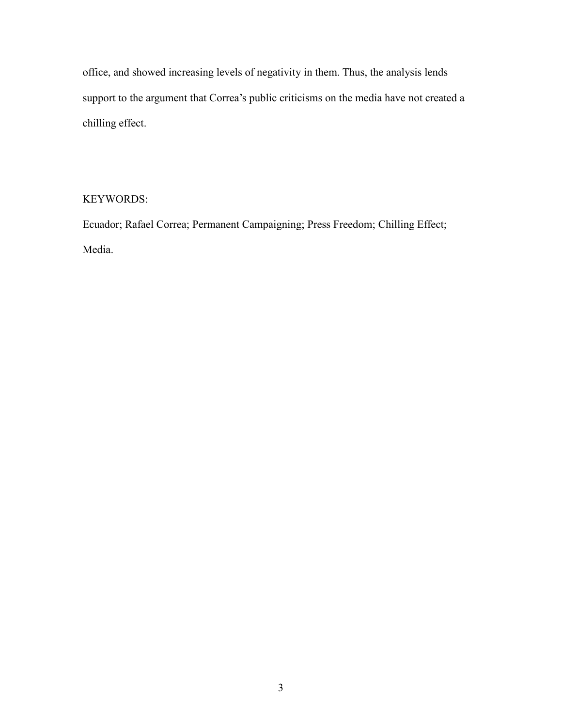office, and showed increasing levels of negativity in them. Thus, the analysis lends support to the argument that Correa's public criticisms on the media have not created a chilling effect.

## KEYWORDS:

Ecuador; Rafael Correa; Permanent Campaigning; Press Freedom; Chilling Effect; Media.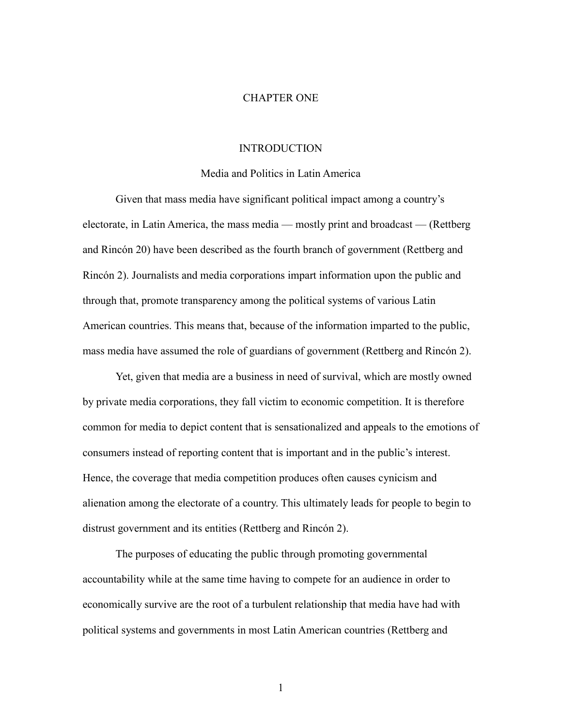#### CHAPTER ONE

#### INTRODUCTION

#### Media and Politics in Latin America

Given that mass media have significant political impact among a country's electorate, in Latin America, the mass media — mostly print and broadcast — (Rettberg and Rincón 20) have been described as the fourth branch of government (Rettberg and Rincón 2). Journalists and media corporations impart information upon the public and through that, promote transparency among the political systems of various Latin American countries. This means that, because of the information imparted to the public, mass media have assumed the role of guardians of government (Rettberg and Rincón 2).

Yet, given that media are a business in need of survival, which are mostly owned by private media corporations, they fall victim to economic competition. It is therefore common for media to depict content that is sensationalized and appeals to the emotions of consumers instead of reporting content that is important and in the public's interest. Hence, the coverage that media competition produces often causes cynicism and alienation among the electorate of a country. This ultimately leads for people to begin to distrust government and its entities (Rettberg and Rincón 2).

The purposes of educating the public through promoting governmental accountability while at the same time having to compete for an audience in order to economically survive are the root of a turbulent relationship that media have had with political systems and governments in most Latin American countries (Rettberg and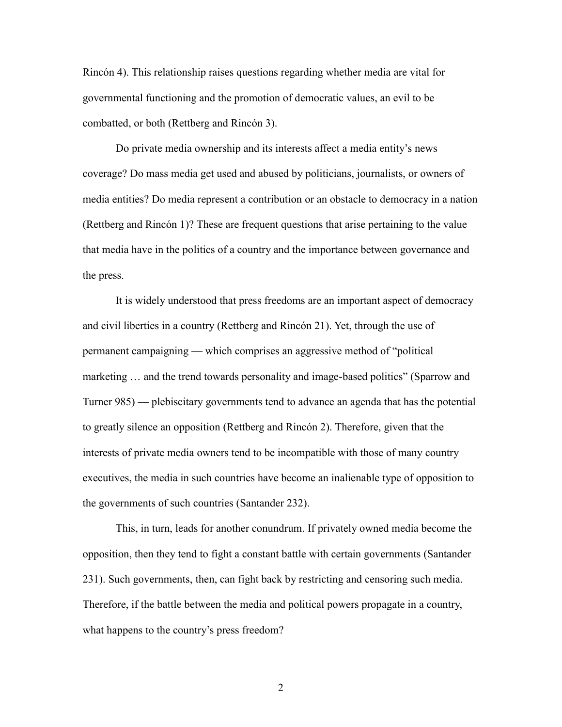Rincón 4). This relationship raises questions regarding whether media are vital for governmental functioning and the promotion of democratic values, an evil to be combatted, or both (Rettberg and Rincón 3).

Do private media ownership and its interests affect a media entity's news coverage? Do mass media get used and abused by politicians, journalists, or owners of media entities? Do media represent a contribution or an obstacle to democracy in a nation (Rettberg and Rincón 1)? These are frequent questions that arise pertaining to the value that media have in the politics of a country and the importance between governance and the press.

It is widely understood that press freedoms are an important aspect of democracy and civil liberties in a country (Rettberg and Rincón 21). Yet, through the use of permanent campaigning — which comprises an aggressive method of "political marketing … and the trend towards personality and image-based politics" (Sparrow and Turner 985) — plebiscitary governments tend to advance an agenda that has the potential to greatly silence an opposition (Rettberg and Rincón 2). Therefore, given that the interests of private media owners tend to be incompatible with those of many country executives, the media in such countries have become an inalienable type of opposition to the governments of such countries (Santander 232).

This, in turn, leads for another conundrum. If privately owned media become the opposition, then they tend to fight a constant battle with certain governments (Santander 231). Such governments, then, can fight back by restricting and censoring such media. Therefore, if the battle between the media and political powers propagate in a country, what happens to the country's press freedom?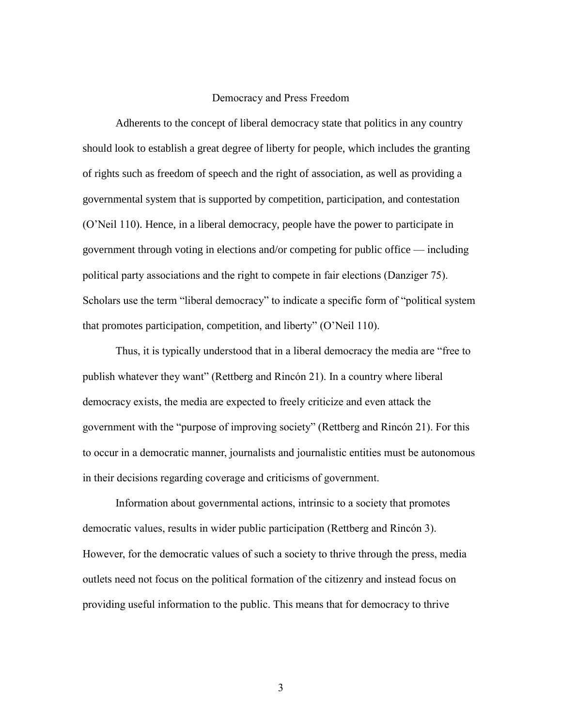#### Democracy and Press Freedom

Adherents to the concept of liberal democracy state that politics in any country should look to establish a great degree of liberty for people, which includes the granting of rights such as freedom of speech and the right of association, as well as providing a governmental system that is supported by competition, participation, and contestation (O'Neil 110). Hence, in a liberal democracy, people have the power to participate in government through voting in elections and/or competing for public office — including political party associations and the right to compete in fair elections (Danziger 75). Scholars use the term "liberal democracy" to indicate a specific form of "political system that promotes participation, competition, and liberty" (O'Neil 110).

Thus, it is typically understood that in a liberal democracy the media are "free to publish whatever they want" (Rettberg and Rincón 21). In a country where liberal democracy exists, the media are expected to freely criticize and even attack the government with the "purpose of improving society" (Rettberg and Rincón 21). For this to occur in a democratic manner, journalists and journalistic entities must be autonomous in their decisions regarding coverage and criticisms of government.

Information about governmental actions, intrinsic to a society that promotes democratic values, results in wider public participation (Rettberg and Rincón 3). However, for the democratic values of such a society to thrive through the press, media outlets need not focus on the political formation of the citizenry and instead focus on providing useful information to the public. This means that for democracy to thrive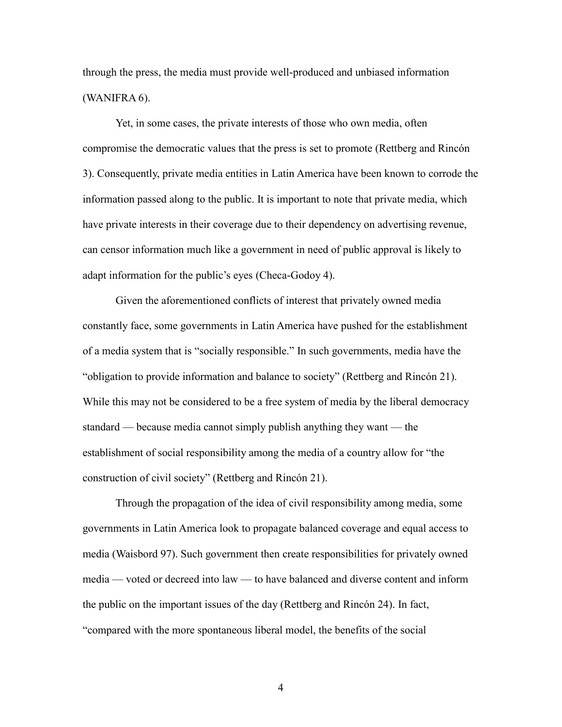through the press, the media must provide well-produced and unbiased information (WANIFRA 6).

Yet, in some cases, the private interests of those who own media, often compromise the democratic values that the press is set to promote (Rettberg and Rincón 3). Consequently, private media entities in Latin America have been known to corrode the information passed along to the public. It is important to note that private media, which have private interests in their coverage due to their dependency on advertising revenue, can censor information much like a government in need of public approval is likely to adapt information for the public's eyes (Checa-Godoy 4).

Given the aforementioned conflicts of interest that privately owned media constantly face, some governments in Latin America have pushed for the establishment of a media system that is "socially responsible." In such governments, media have the "obligation to provide information and balance to society" (Rettberg and Rincón 21). While this may not be considered to be a free system of media by the liberal democracy standard — because media cannot simply publish anything they want — the establishment of social responsibility among the media of a country allow for "the construction of civil society" (Rettberg and Rincón 21).

Through the propagation of the idea of civil responsibility among media, some governments in Latin America look to propagate balanced coverage and equal access to media (Waisbord 97). Such government then create responsibilities for privately owned media — voted or decreed into law — to have balanced and diverse content and inform the public on the important issues of the day (Rettberg and Rincón 24). In fact, "compared with the more spontaneous liberal model, the benefits of the social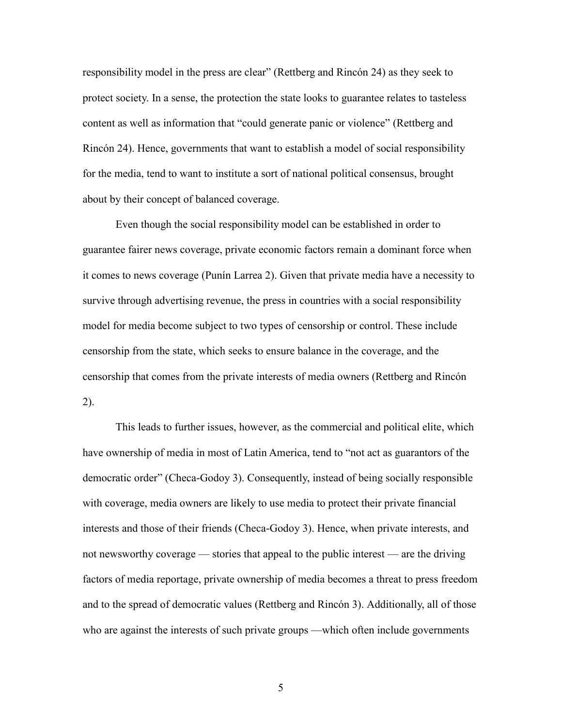responsibility model in the press are clear" (Rettberg and Rincón 24) as they seek to protect society. In a sense, the protection the state looks to guarantee relates to tasteless content as well as information that "could generate panic or violence" (Rettberg and Rincón 24). Hence, governments that want to establish a model of social responsibility for the media, tend to want to institute a sort of national political consensus, brought about by their concept of balanced coverage.

Even though the social responsibility model can be established in order to guarantee fairer news coverage, private economic factors remain a dominant force when it comes to news coverage (Punín Larrea 2). Given that private media have a necessity to survive through advertising revenue, the press in countries with a social responsibility model for media become subject to two types of censorship or control. These include censorship from the state, which seeks to ensure balance in the coverage, and the censorship that comes from the private interests of media owners (Rettberg and Rincón 2).

This leads to further issues, however, as the commercial and political elite, which have ownership of media in most of Latin America, tend to "not act as guarantors of the democratic order" (Checa-Godoy 3). Consequently, instead of being socially responsible with coverage, media owners are likely to use media to protect their private financial interests and those of their friends (Checa-Godoy 3). Hence, when private interests, and not newsworthy coverage — stories that appeal to the public interest — are the driving factors of media reportage, private ownership of media becomes a threat to press freedom and to the spread of democratic values (Rettberg and Rincón 3). Additionally, all of those who are against the interests of such private groups —which often include governments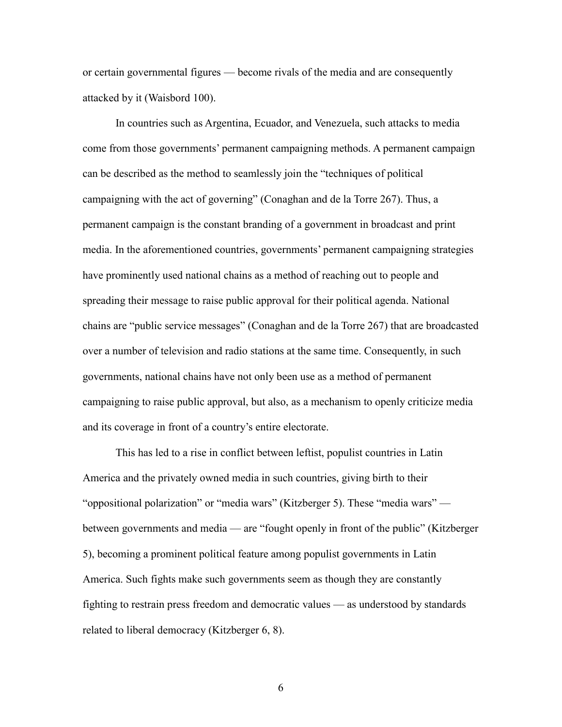or certain governmental figures — become rivals of the media and are consequently attacked by it (Waisbord 100).

In countries such as Argentina, Ecuador, and Venezuela, such attacks to media come from those governments' permanent campaigning methods. A permanent campaign can be described as the method to seamlessly join the "techniques of political campaigning with the act of governing" (Conaghan and de la Torre 267). Thus, a permanent campaign is the constant branding of a government in broadcast and print media. In the aforementioned countries, governments' permanent campaigning strategies have prominently used national chains as a method of reaching out to people and spreading their message to raise public approval for their political agenda. National chains are "public service messages" (Conaghan and de la Torre 267) that are broadcasted over a number of television and radio stations at the same time. Consequently, in such governments, national chains have not only been use as a method of permanent campaigning to raise public approval, but also, as a mechanism to openly criticize media and its coverage in front of a country's entire electorate.

This has led to a rise in conflict between leftist, populist countries in Latin America and the privately owned media in such countries, giving birth to their "oppositional polarization" or "media wars" (Kitzberger 5). These "media wars" between governments and media — are "fought openly in front of the public" (Kitzberger 5), becoming a prominent political feature among populist governments in Latin America. Such fights make such governments seem as though they are constantly fighting to restrain press freedom and democratic values — as understood by standards related to liberal democracy (Kitzberger 6, 8).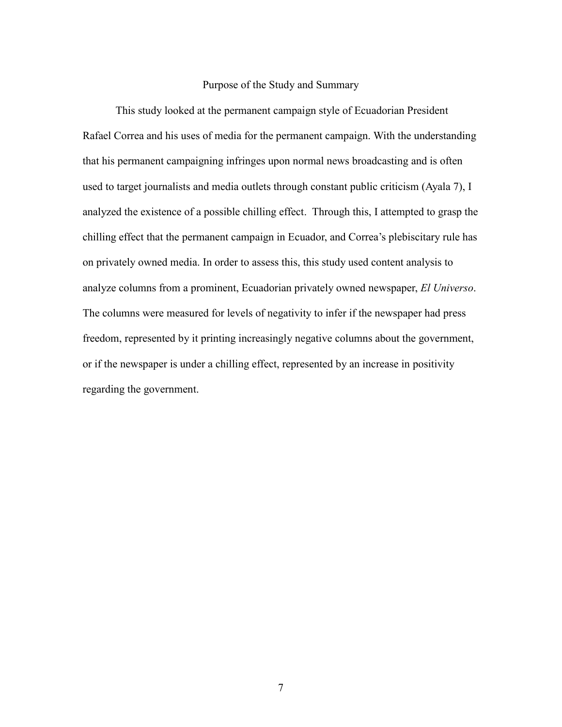#### Purpose of the Study and Summary

This study looked at the permanent campaign style of Ecuadorian President Rafael Correa and his uses of media for the permanent campaign. With the understanding that his permanent campaigning infringes upon normal news broadcasting and is often used to target journalists and media outlets through constant public criticism (Ayala 7), I analyzed the existence of a possible chilling effect. Through this, I attempted to grasp the chilling effect that the permanent campaign in Ecuador, and Correa's plebiscitary rule has on privately owned media. In order to assess this, this study used content analysis to analyze columns from a prominent, Ecuadorian privately owned newspaper, *El Universo*. The columns were measured for levels of negativity to infer if the newspaper had press freedom, represented by it printing increasingly negative columns about the government, or if the newspaper is under a chilling effect, represented by an increase in positivity regarding the government.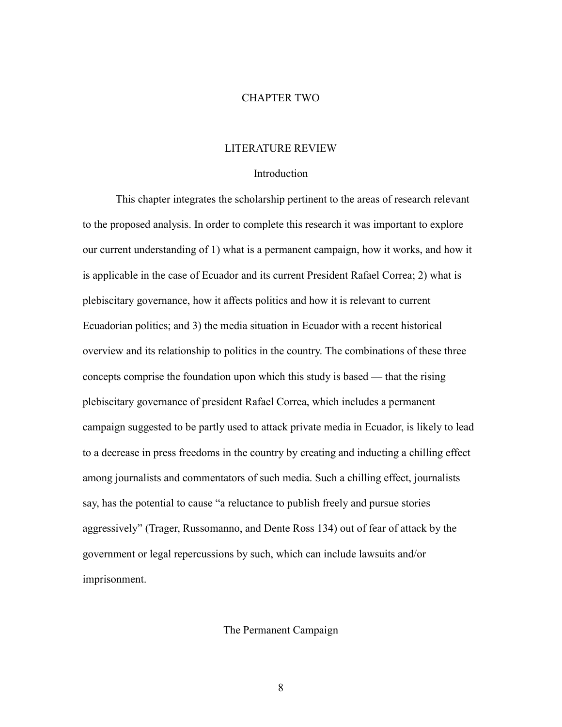#### CHAPTER TWO

#### LITERATURE REVIEW

#### Introduction

This chapter integrates the scholarship pertinent to the areas of research relevant to the proposed analysis. In order to complete this research it was important to explore our current understanding of 1) what is a permanent campaign, how it works, and how it is applicable in the case of Ecuador and its current President Rafael Correa; 2) what is plebiscitary governance, how it affects politics and how it is relevant to current Ecuadorian politics; and 3) the media situation in Ecuador with a recent historical overview and its relationship to politics in the country. The combinations of these three concepts comprise the foundation upon which this study is based — that the rising plebiscitary governance of president Rafael Correa, which includes a permanent campaign suggested to be partly used to attack private media in Ecuador, is likely to lead to a decrease in press freedoms in the country by creating and inducting a chilling effect among journalists and commentators of such media. Such a chilling effect, journalists say, has the potential to cause "a reluctance to publish freely and pursue stories aggressively" (Trager, Russomanno, and Dente Ross 134) out of fear of attack by the government or legal repercussions by such, which can include lawsuits and/or imprisonment.

#### The Permanent Campaign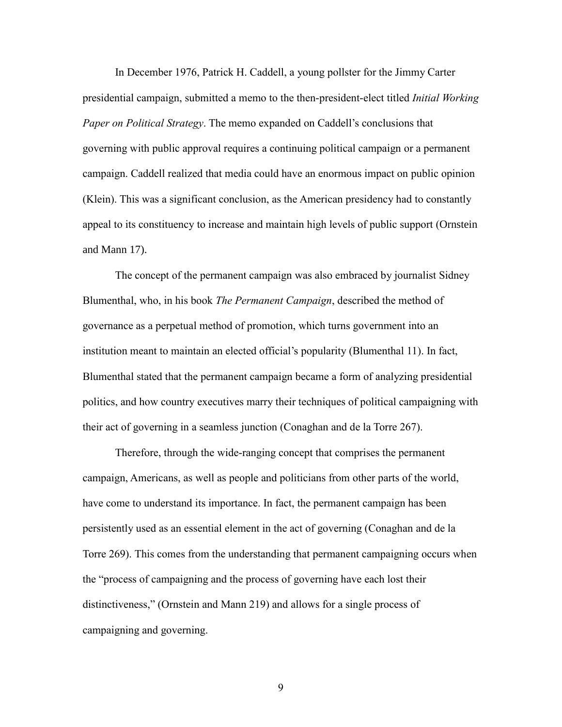In December 1976, Patrick H. Caddell, a young pollster for the Jimmy Carter presidential campaign, submitted a memo to the then-president-elect titled *Initial Working Paper on Political Strategy*. The memo expanded on Caddell's conclusions that governing with public approval requires a continuing political campaign or a permanent campaign. Caddell realized that media could have an enormous impact on public opinion (Klein). This was a significant conclusion, as the American presidency had to constantly appeal to its constituency to increase and maintain high levels of public support (Ornstein and Mann 17).

The concept of the permanent campaign was also embraced by journalist Sidney Blumenthal, who, in his book *The Permanent Campaign*, described the method of governance as a perpetual method of promotion, which turns government into an institution meant to maintain an elected official's popularity (Blumenthal 11). In fact, Blumenthal stated that the permanent campaign became a form of analyzing presidential politics, and how country executives marry their techniques of political campaigning with their act of governing in a seamless junction (Conaghan and de la Torre 267).

Therefore, through the wide-ranging concept that comprises the permanent campaign, Americans, as well as people and politicians from other parts of the world, have come to understand its importance. In fact, the permanent campaign has been persistently used as an essential element in the act of governing (Conaghan and de la Torre 269). This comes from the understanding that permanent campaigning occurs when the "process of campaigning and the process of governing have each lost their distinctiveness," (Ornstein and Mann 219) and allows for a single process of campaigning and governing.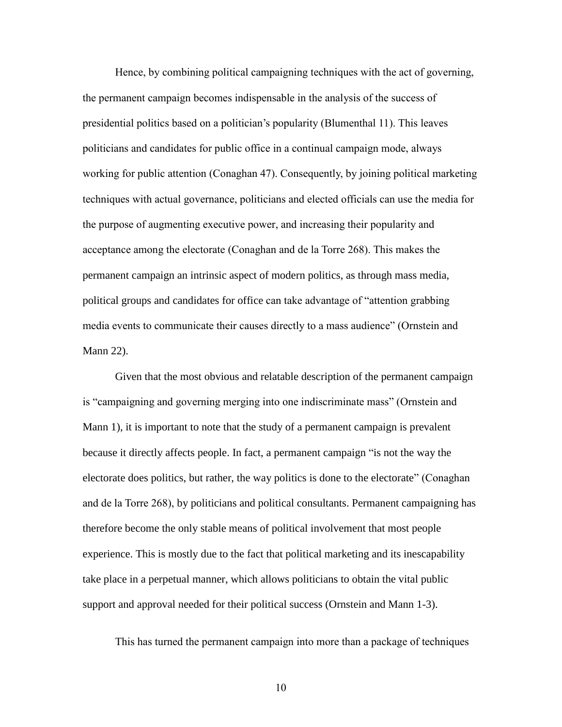Hence, by combining political campaigning techniques with the act of governing, the permanent campaign becomes indispensable in the analysis of the success of presidential politics based on a politician's popularity (Blumenthal 11). This leaves politicians and candidates for public office in a continual campaign mode, always working for public attention (Conaghan 47). Consequently, by joining political marketing techniques with actual governance, politicians and elected officials can use the media for the purpose of augmenting executive power, and increasing their popularity and acceptance among the electorate (Conaghan and de la Torre 268). This makes the permanent campaign an intrinsic aspect of modern politics, as through mass media, political groups and candidates for office can take advantage of "attention grabbing media events to communicate their causes directly to a mass audience" (Ornstein and Mann 22).

Given that the most obvious and relatable description of the permanent campaign is "campaigning and governing merging into one indiscriminate mass" (Ornstein and Mann 1), it is important to note that the study of a permanent campaign is prevalent because it directly affects people. In fact, a permanent campaign "is not the way the electorate does politics, but rather, the way politics is done to the electorate" (Conaghan and de la Torre 268), by politicians and political consultants. Permanent campaigning has therefore become the only stable means of political involvement that most people experience. This is mostly due to the fact that political marketing and its inescapability take place in a perpetual manner, which allows politicians to obtain the vital public support and approval needed for their political success (Ornstein and Mann 1-3).

This has turned the permanent campaign into more than a package of techniques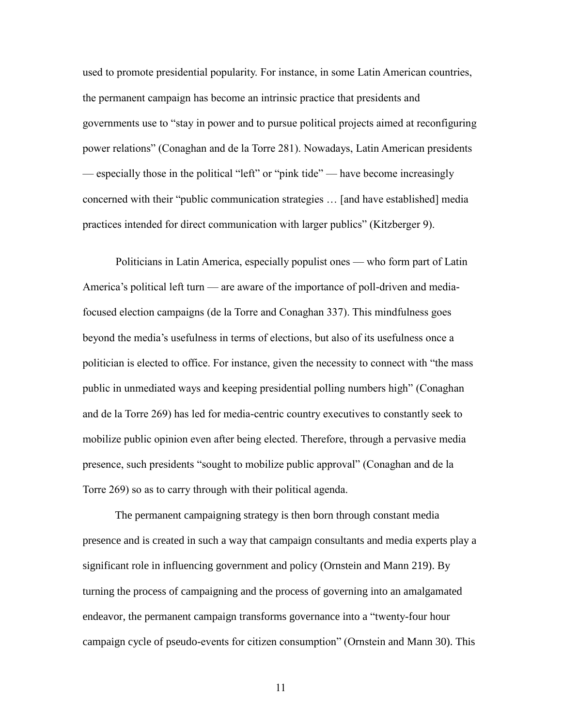used to promote presidential popularity. For instance, in some Latin American countries, the permanent campaign has become an intrinsic practice that presidents and governments use to "stay in power and to pursue political projects aimed at reconfiguring power relations" (Conaghan and de la Torre 281). Nowadays, Latin American presidents — especially those in the political "left" or "pink tide" — have become increasingly concerned with their "public communication strategies … [and have established] media practices intended for direct communication with larger publics" (Kitzberger 9).

Politicians in Latin America, especially populist ones — who form part of Latin America's political left turn — are aware of the importance of poll-driven and mediafocused election campaigns (de la Torre and Conaghan 337). This mindfulness goes beyond the media's usefulness in terms of elections, but also of its usefulness once a politician is elected to office. For instance, given the necessity to connect with "the mass public in unmediated ways and keeping presidential polling numbers high" (Conaghan and de la Torre 269) has led for media-centric country executives to constantly seek to mobilize public opinion even after being elected. Therefore, through a pervasive media presence, such presidents "sought to mobilize public approval" (Conaghan and de la Torre 269) so as to carry through with their political agenda.

The permanent campaigning strategy is then born through constant media presence and is created in such a way that campaign consultants and media experts play a significant role in influencing government and policy (Ornstein and Mann 219). By turning the process of campaigning and the process of governing into an amalgamated endeavor, the permanent campaign transforms governance into a "twenty-four hour campaign cycle of pseudo-events for citizen consumption" (Ornstein and Mann 30). This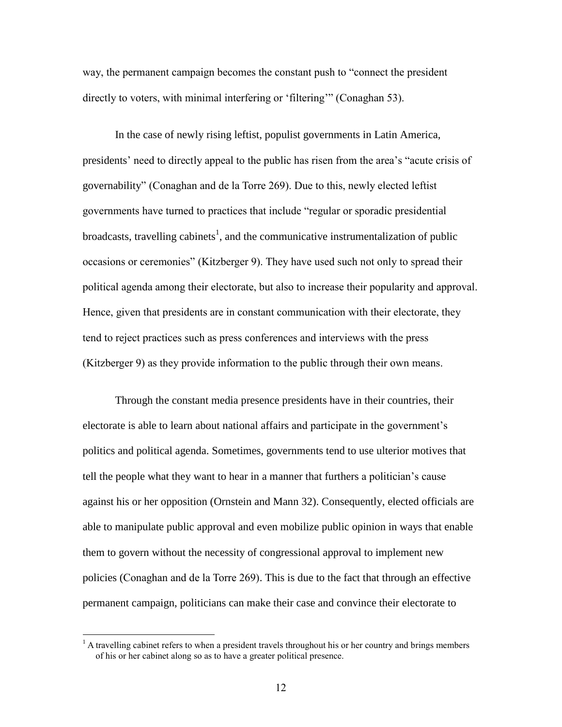way, the permanent campaign becomes the constant push to "connect the president directly to voters, with minimal interfering or 'filtering'" (Conaghan 53).

In the case of newly rising leftist, populist governments in Latin America, presidents' need to directly appeal to the public has risen from the area's "acute crisis of governability" (Conaghan and de la Torre 269). Due to this, newly elected leftist governments have turned to practices that include "regular or sporadic presidential broadcasts, travelling cabinets<sup>1</sup>, and the communicative instrumentalization of public occasions or ceremonies" (Kitzberger 9). They have used such not only to spread their political agenda among their electorate, but also to increase their popularity and approval. Hence, given that presidents are in constant communication with their electorate, they tend to reject practices such as press conferences and interviews with the press (Kitzberger 9) as they provide information to the public through their own means.

Through the constant media presence presidents have in their countries, their electorate is able to learn about national affairs and participate in the government's politics and political agenda. Sometimes, governments tend to use ulterior motives that tell the people what they want to hear in a manner that furthers a politician's cause against his or her opposition (Ornstein and Mann 32). Consequently, elected officials are able to manipulate public approval and even mobilize public opinion in ways that enable them to govern without the necessity of congressional approval to implement new policies (Conaghan and de la Torre 269). This is due to the fact that through an effective permanent campaign, politicians can make their case and convince their electorate to

 $\overline{a}$ 

<sup>&</sup>lt;sup>1</sup> A travelling cabinet refers to when a president travels throughout his or her country and brings members of his or her cabinet along so as to have a greater political presence.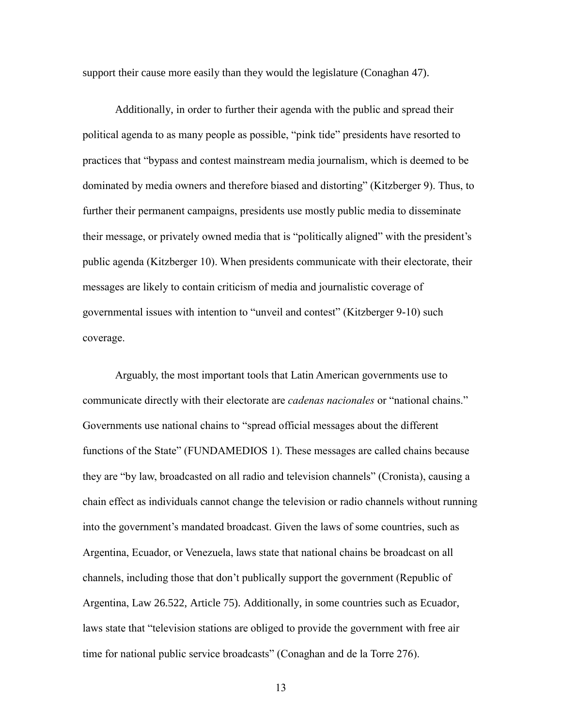support their cause more easily than they would the legislature (Conaghan 47).

Additionally, in order to further their agenda with the public and spread their political agenda to as many people as possible, "pink tide" presidents have resorted to practices that "bypass and contest mainstream media journalism, which is deemed to be dominated by media owners and therefore biased and distorting" (Kitzberger 9). Thus, to further their permanent campaigns, presidents use mostly public media to disseminate their message, or privately owned media that is "politically aligned" with the president's public agenda (Kitzberger 10). When presidents communicate with their electorate, their messages are likely to contain criticism of media and journalistic coverage of governmental issues with intention to "unveil and contest" (Kitzberger 9-10) such coverage.

Arguably, the most important tools that Latin American governments use to communicate directly with their electorate are *cadenas nacionales* or "national chains." Governments use national chains to "spread official messages about the different functions of the State" (FUNDAMEDIOS 1). These messages are called chains because they are "by law, broadcasted on all radio and television channels" (Cronista), causing a chain effect as individuals cannot change the television or radio channels without running into the government's mandated broadcast. Given the laws of some countries, such as Argentina, Ecuador, or Venezuela, laws state that national chains be broadcast on all channels, including those that don't publically support the government (Republic of Argentina, Law 26.522, Article 75). Additionally, in some countries such as Ecuador, laws state that "television stations are obliged to provide the government with free air time for national public service broadcasts" (Conaghan and de la Torre 276).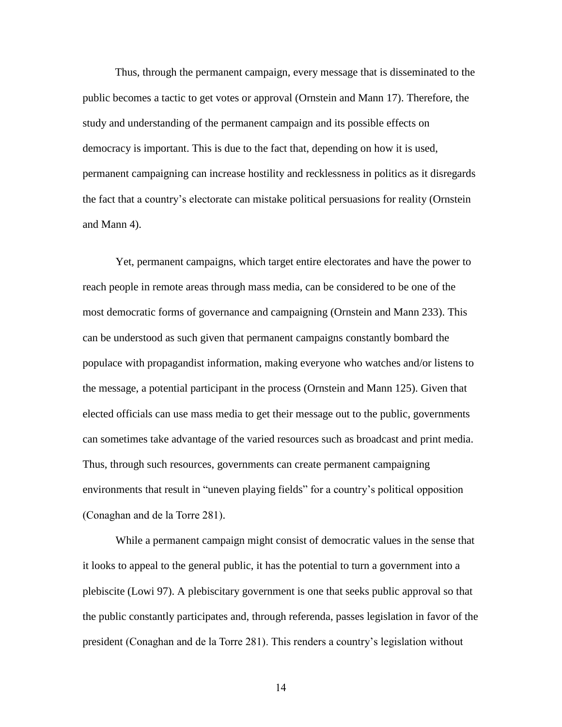Thus, through the permanent campaign, every message that is disseminated to the public becomes a tactic to get votes or approval (Ornstein and Mann 17). Therefore, the study and understanding of the permanent campaign and its possible effects on democracy is important. This is due to the fact that, depending on how it is used, permanent campaigning can increase hostility and recklessness in politics as it disregards the fact that a country's electorate can mistake political persuasions for reality (Ornstein and Mann 4).

Yet, permanent campaigns, which target entire electorates and have the power to reach people in remote areas through mass media, can be considered to be one of the most democratic forms of governance and campaigning (Ornstein and Mann 233). This can be understood as such given that permanent campaigns constantly bombard the populace with propagandist information, making everyone who watches and/or listens to the message, a potential participant in the process (Ornstein and Mann 125). Given that elected officials can use mass media to get their message out to the public, governments can sometimes take advantage of the varied resources such as broadcast and print media. Thus, through such resources, governments can create permanent campaigning environments that result in "uneven playing fields" for a country's political opposition (Conaghan and de la Torre 281).

While a permanent campaign might consist of democratic values in the sense that it looks to appeal to the general public, it has the potential to turn a government into a plebiscite (Lowi 97). A plebiscitary government is one that seeks public approval so that the public constantly participates and, through referenda, passes legislation in favor of the president (Conaghan and de la Torre 281). This renders a country's legislation without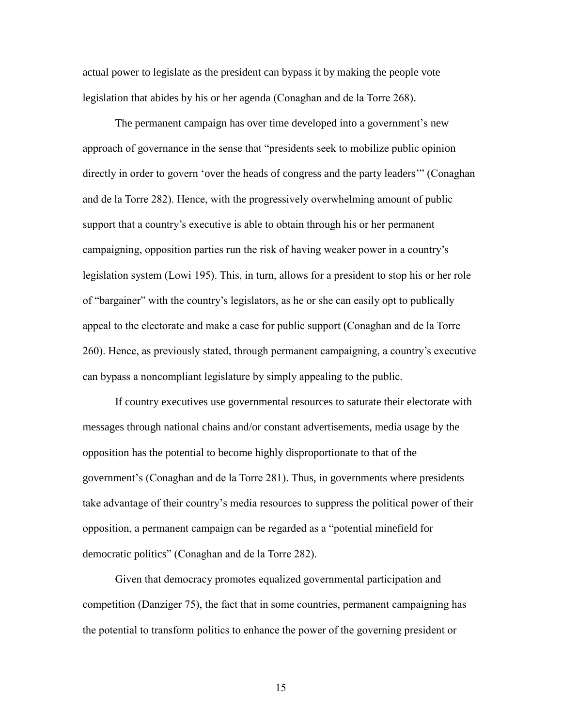actual power to legislate as the president can bypass it by making the people vote legislation that abides by his or her agenda (Conaghan and de la Torre 268).

The permanent campaign has over time developed into a government's new approach of governance in the sense that "presidents seek to mobilize public opinion directly in order to govern 'over the heads of congress and the party leaders'" (Conaghan and de la Torre 282). Hence, with the progressively overwhelming amount of public support that a country's executive is able to obtain through his or her permanent campaigning, opposition parties run the risk of having weaker power in a country's legislation system (Lowi 195). This, in turn, allows for a president to stop his or her role of "bargainer" with the country's legislators, as he or she can easily opt to publically appeal to the electorate and make a case for public support (Conaghan and de la Torre 260). Hence, as previously stated, through permanent campaigning, a country's executive can bypass a noncompliant legislature by simply appealing to the public.

If country executives use governmental resources to saturate their electorate with messages through national chains and/or constant advertisements, media usage by the opposition has the potential to become highly disproportionate to that of the government's (Conaghan and de la Torre 281). Thus, in governments where presidents take advantage of their country's media resources to suppress the political power of their opposition, a permanent campaign can be regarded as a "potential minefield for democratic politics" (Conaghan and de la Torre 282).

Given that democracy promotes equalized governmental participation and competition (Danziger 75), the fact that in some countries, permanent campaigning has the potential to transform politics to enhance the power of the governing president or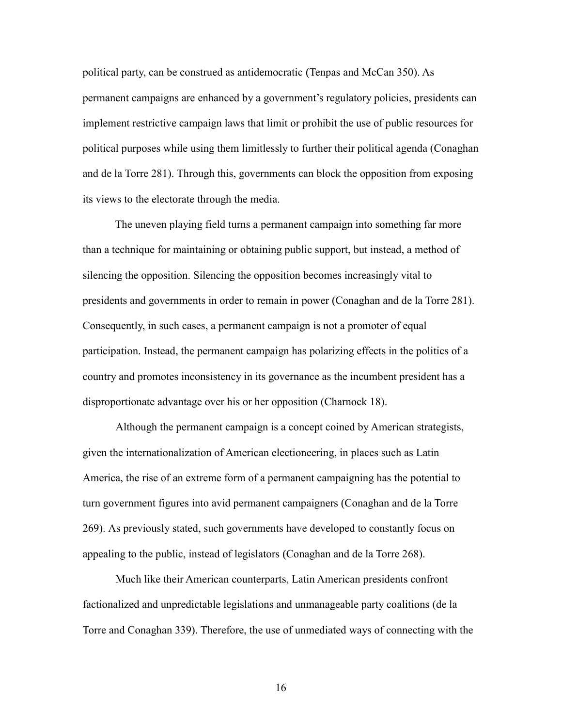political party, can be construed as antidemocratic (Tenpas and McCan 350). As permanent campaigns are enhanced by a government's regulatory policies, presidents can implement restrictive campaign laws that limit or prohibit the use of public resources for political purposes while using them limitlessly to further their political agenda (Conaghan and de la Torre 281). Through this, governments can block the opposition from exposing its views to the electorate through the media.

The uneven playing field turns a permanent campaign into something far more than a technique for maintaining or obtaining public support, but instead, a method of silencing the opposition. Silencing the opposition becomes increasingly vital to presidents and governments in order to remain in power (Conaghan and de la Torre 281). Consequently, in such cases, a permanent campaign is not a promoter of equal participation. Instead, the permanent campaign has polarizing effects in the politics of a country and promotes inconsistency in its governance as the incumbent president has a disproportionate advantage over his or her opposition (Charnock 18).

Although the permanent campaign is a concept coined by American strategists, given the internationalization of American electioneering, in places such as Latin America, the rise of an extreme form of a permanent campaigning has the potential to turn government figures into avid permanent campaigners (Conaghan and de la Torre 269). As previously stated, such governments have developed to constantly focus on appealing to the public, instead of legislators (Conaghan and de la Torre 268).

Much like their American counterparts, Latin American presidents confront factionalized and unpredictable legislations and unmanageable party coalitions (de la Torre and Conaghan 339). Therefore, the use of unmediated ways of connecting with the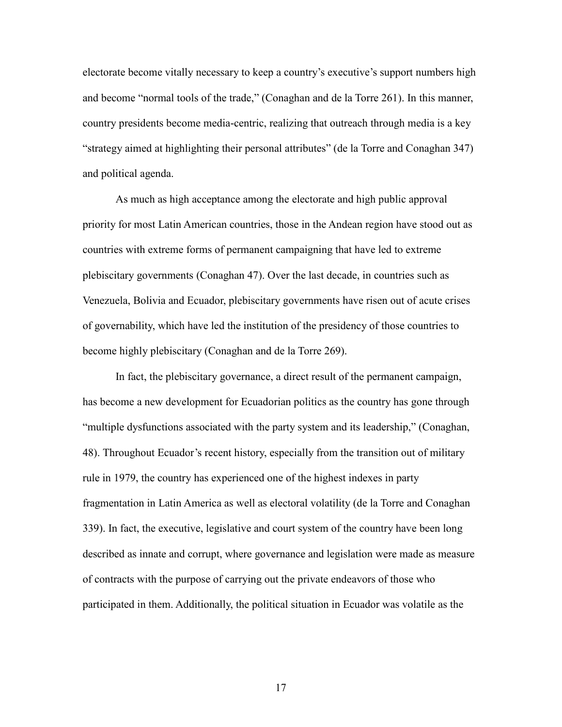electorate become vitally necessary to keep a country's executive's support numbers high and become "normal tools of the trade," (Conaghan and de la Torre 261). In this manner, country presidents become media-centric, realizing that outreach through media is a key "strategy aimed at highlighting their personal attributes" (de la Torre and Conaghan 347) and political agenda.

As much as high acceptance among the electorate and high public approval priority for most Latin American countries, those in the Andean region have stood out as countries with extreme forms of permanent campaigning that have led to extreme plebiscitary governments (Conaghan 47). Over the last decade, in countries such as Venezuela, Bolivia and Ecuador, plebiscitary governments have risen out of acute crises of governability, which have led the institution of the presidency of those countries to become highly plebiscitary (Conaghan and de la Torre 269).

In fact, the plebiscitary governance, a direct result of the permanent campaign, has become a new development for Ecuadorian politics as the country has gone through "multiple dysfunctions associated with the party system and its leadership," (Conaghan, 48). Throughout Ecuador's recent history, especially from the transition out of military rule in 1979, the country has experienced one of the highest indexes in party fragmentation in Latin America as well as electoral volatility (de la Torre and Conaghan 339). In fact, the executive, legislative and court system of the country have been long described as innate and corrupt, where governance and legislation were made as measure of contracts with the purpose of carrying out the private endeavors of those who participated in them. Additionally, the political situation in Ecuador was volatile as the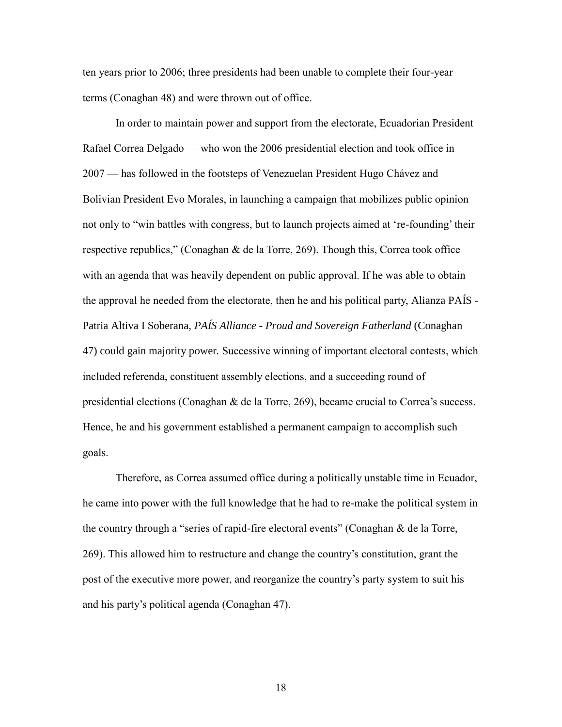ten years prior to 2006; three presidents had been unable to complete their four-year terms (Conaghan 48) and were thrown out of office.

In order to maintain power and support from the electorate, Ecuadorian President Rafael Correa Delgado — who won the 2006 presidential election and took office in 2007 — has followed in the footsteps of Venezuelan President Hugo Chávez and Bolivian President Evo Morales, in launching a campaign that mobilizes public opinion not only to "win battles with congress, but to launch projects aimed at 're-founding' their respective republics," (Conaghan & de la Torre, 269). Though this, Correa took office with an agenda that was heavily dependent on public approval. If he was able to obtain the approval he needed from the electorate, then he and his political party, Alianza PAÍS - Patria Altiva I Soberana, *PAÍS Alliance - Proud and Sovereign Fatherland* (Conaghan 47) could gain majority power*.* Successive winning of important electoral contests, which included referenda, constituent assembly elections, and a succeeding round of presidential elections (Conaghan & de la Torre, 269), became crucial to Correa's success. Hence, he and his government established a permanent campaign to accomplish such goals.

Therefore, as Correa assumed office during a politically unstable time in Ecuador, he came into power with the full knowledge that he had to re-make the political system in the country through a "series of rapid-fire electoral events" (Conaghan & de la Torre, 269). This allowed him to restructure and change the country's constitution, grant the post of the executive more power, and reorganize the country's party system to suit his and his party's political agenda (Conaghan 47).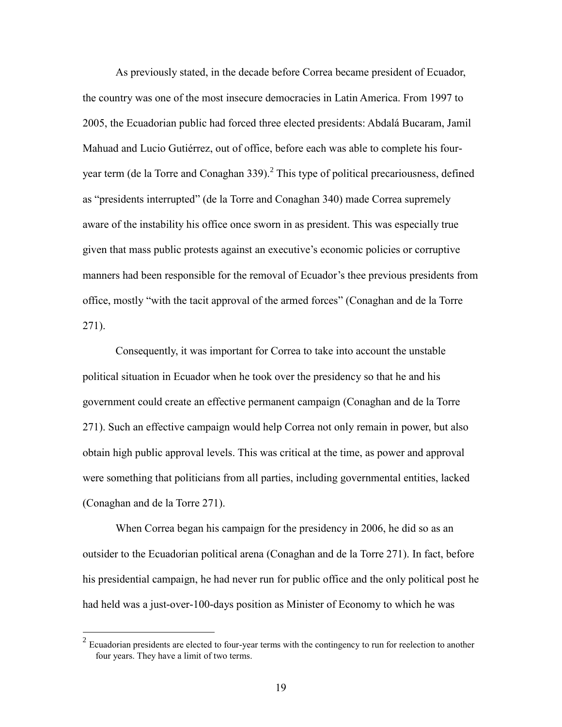As previously stated, in the decade before Correa became president of Ecuador, the country was one of the most insecure democracies in Latin America. From 1997 to 2005, the Ecuadorian public had forced three elected presidents: Abdalá Bucaram, Jamil Mahuad and Lucio Gutiérrez, out of office, before each was able to complete his fouryear term (de la Torre and Conaghan 339). 2 This type of political precariousness, defined as "presidents interrupted" (de la Torre and Conaghan 340) made Correa supremely aware of the instability his office once sworn in as president. This was especially true given that mass public protests against an executive's economic policies or corruptive manners had been responsible for the removal of Ecuador's thee previous presidents from office, mostly "with the tacit approval of the armed forces" (Conaghan and de la Torre 271).

Consequently, it was important for Correa to take into account the unstable political situation in Ecuador when he took over the presidency so that he and his government could create an effective permanent campaign (Conaghan and de la Torre 271). Such an effective campaign would help Correa not only remain in power, but also obtain high public approval levels. This was critical at the time, as power and approval were something that politicians from all parties, including governmental entities, lacked (Conaghan and de la Torre 271).

When Correa began his campaign for the presidency in 2006, he did so as an outsider to the Ecuadorian political arena (Conaghan and de la Torre 271). In fact, before his presidential campaign, he had never run for public office and the only political post he had held was a just-over-100-days position as Minister of Economy to which he was

<sup>&</sup>lt;sup>2</sup> Ecuadorian presidents are elected to four-year terms with the contingency to run for reelection to another four years. They have a limit of two terms.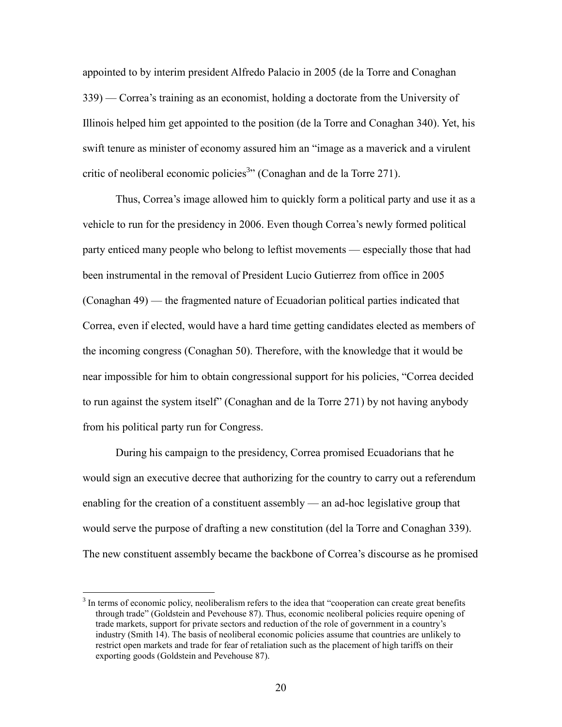appointed to by interim president Alfredo Palacio in 2005 (de la Torre and Conaghan 339) — Correa's training as an economist, holding a doctorate from the University of Illinois helped him get appointed to the position (de la Torre and Conaghan 340). Yet, his swift tenure as minister of economy assured him an "image as a maverick and a virulent critic of neoliberal economic policies<sup>3</sup><sup>33</sup> (Conaghan and de la Torre 271).

Thus, Correa's image allowed him to quickly form a political party and use it as a vehicle to run for the presidency in 2006. Even though Correa's newly formed political party enticed many people who belong to leftist movements — especially those that had been instrumental in the removal of President Lucio Gutierrez from office in 2005 (Conaghan 49) — the fragmented nature of Ecuadorian political parties indicated that Correa, even if elected, would have a hard time getting candidates elected as members of the incoming congress (Conaghan 50). Therefore, with the knowledge that it would be near impossible for him to obtain congressional support for his policies, "Correa decided to run against the system itself" (Conaghan and de la Torre 271) by not having anybody from his political party run for Congress.

During his campaign to the presidency, Correa promised Ecuadorians that he would sign an executive decree that authorizing for the country to carry out a referendum enabling for the creation of a constituent assembly — an ad-hoc legislative group that would serve the purpose of drafting a new constitution (del la Torre and Conaghan 339). The new constituent assembly became the backbone of Correa's discourse as he promised

 $\overline{a}$ 

<sup>&</sup>lt;sup>3</sup> In terms of economic policy, neoliberalism refers to the idea that "cooperation can create great benefits through trade" (Goldstein and Pevehouse 87). Thus, economic neoliberal policies require opening of trade markets, support for private sectors and reduction of the role of government in a country's industry (Smith 14). The basis of neoliberal economic policies assume that countries are unlikely to restrict open markets and trade for fear of retaliation such as the placement of high tariffs on their exporting goods (Goldstein and Pevehouse 87).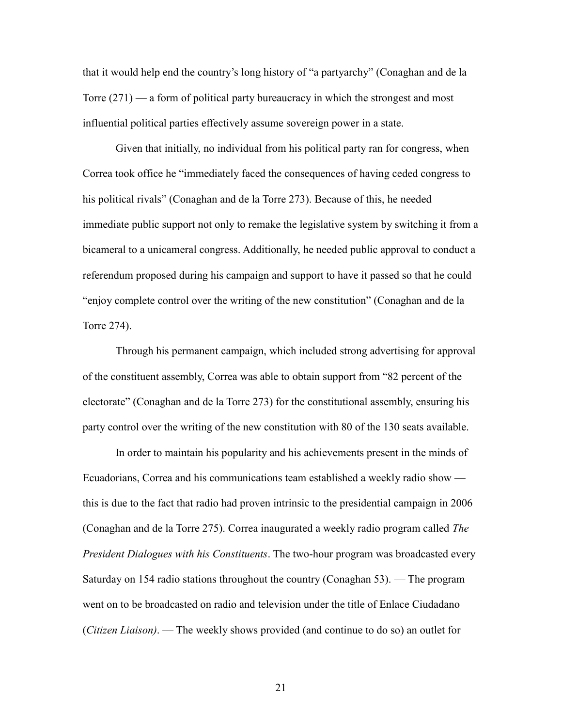that it would help end the country's long history of "a partyarchy" (Conaghan and de la Torre (271) — a form of political party bureaucracy in which the strongest and most influential political parties effectively assume sovereign power in a state.

Given that initially, no individual from his political party ran for congress, when Correa took office he "immediately faced the consequences of having ceded congress to his political rivals" (Conaghan and de la Torre 273). Because of this, he needed immediate public support not only to remake the legislative system by switching it from a bicameral to a unicameral congress. Additionally, he needed public approval to conduct a referendum proposed during his campaign and support to have it passed so that he could "enjoy complete control over the writing of the new constitution" (Conaghan and de la Torre 274).

Through his permanent campaign, which included strong advertising for approval of the constituent assembly, Correa was able to obtain support from "82 percent of the electorate" (Conaghan and de la Torre 273) for the constitutional assembly, ensuring his party control over the writing of the new constitution with 80 of the 130 seats available.

In order to maintain his popularity and his achievements present in the minds of Ecuadorians, Correa and his communications team established a weekly radio show this is due to the fact that radio had proven intrinsic to the presidential campaign in 2006 (Conaghan and de la Torre 275). Correa inaugurated a weekly radio program called *The President Dialogues with his Constituents*. The two-hour program was broadcasted every Saturday on 154 radio stations throughout the country (Conaghan 53). — The program went on to be broadcasted on radio and television under the title of Enlace Ciudadano (*Citizen Liaison)*. — The weekly shows provided (and continue to do so) an outlet for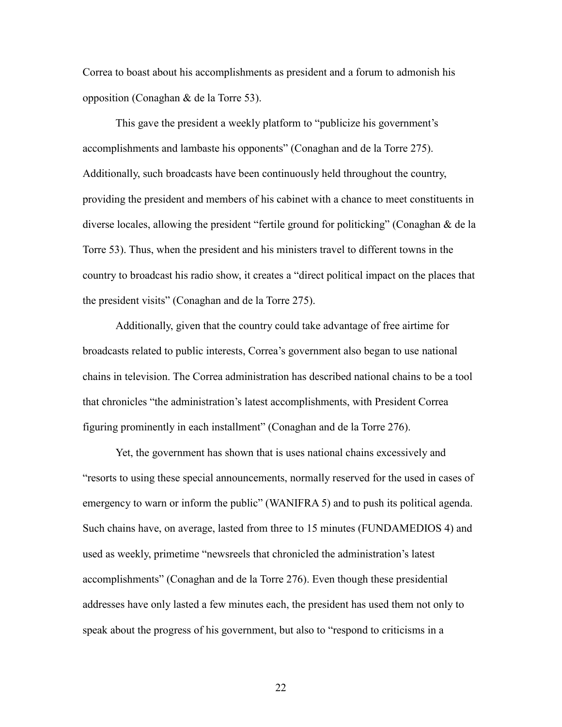Correa to boast about his accomplishments as president and a forum to admonish his opposition (Conaghan & de la Torre 53).

This gave the president a weekly platform to "publicize his government's accomplishments and lambaste his opponents" (Conaghan and de la Torre 275). Additionally, such broadcasts have been continuously held throughout the country, providing the president and members of his cabinet with a chance to meet constituents in diverse locales, allowing the president "fertile ground for politicking" (Conaghan & de la Torre 53). Thus, when the president and his ministers travel to different towns in the country to broadcast his radio show, it creates a "direct political impact on the places that the president visits" (Conaghan and de la Torre 275).

Additionally, given that the country could take advantage of free airtime for broadcasts related to public interests, Correa's government also began to use national chains in television. The Correa administration has described national chains to be a tool that chronicles "the administration's latest accomplishments, with President Correa figuring prominently in each installment" (Conaghan and de la Torre 276).

Yet, the government has shown that is uses national chains excessively and "resorts to using these special announcements, normally reserved for the used in cases of emergency to warn or inform the public" (WANIFRA 5) and to push its political agenda. Such chains have, on average, lasted from three to 15 minutes (FUNDAMEDIOS 4) and used as weekly, primetime "newsreels that chronicled the administration's latest accomplishments" (Conaghan and de la Torre 276). Even though these presidential addresses have only lasted a few minutes each, the president has used them not only to speak about the progress of his government, but also to "respond to criticisms in a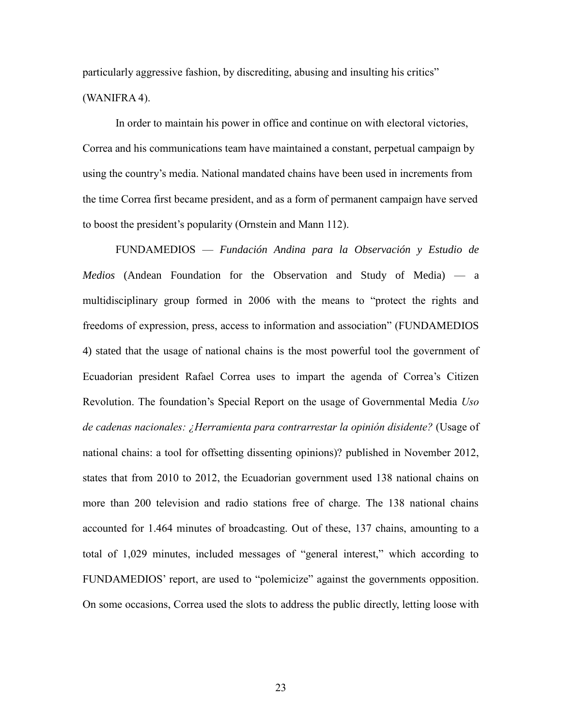particularly aggressive fashion, by discrediting, abusing and insulting his critics" (WANIFRA 4).

In order to maintain his power in office and continue on with electoral victories, Correa and his communications team have maintained a constant, perpetual campaign by using the country's media. National mandated chains have been used in increments from the time Correa first became president, and as a form of permanent campaign have served to boost the president's popularity (Ornstein and Mann 112).

FUNDAMEDIOS — *Fundación Andina para la Observación y Estudio de Medios* (Andean Foundation for the Observation and Study of Media) — a multidisciplinary group formed in 2006 with the means to "protect the rights and freedoms of expression, press, access to information and association" (FUNDAMEDIOS 4) stated that the usage of national chains is the most powerful tool the government of Ecuadorian president Rafael Correa uses to impart the agenda of Correa's Citizen Revolution. The foundation's Special Report on the usage of Governmental Media *Uso de cadenas nacionales: ¿Herramienta para contrarrestar la opinión disidente?* (Usage of national chains: a tool for offsetting dissenting opinions)? published in November 2012, states that from 2010 to 2012, the Ecuadorian government used 138 national chains on more than 200 television and radio stations free of charge. The 138 national chains accounted for 1.464 minutes of broadcasting. Out of these, 137 chains, amounting to a total of 1,029 minutes, included messages of "general interest," which according to FUNDAMEDIOS' report, are used to "polemicize" against the governments opposition. On some occasions, Correa used the slots to address the public directly, letting loose with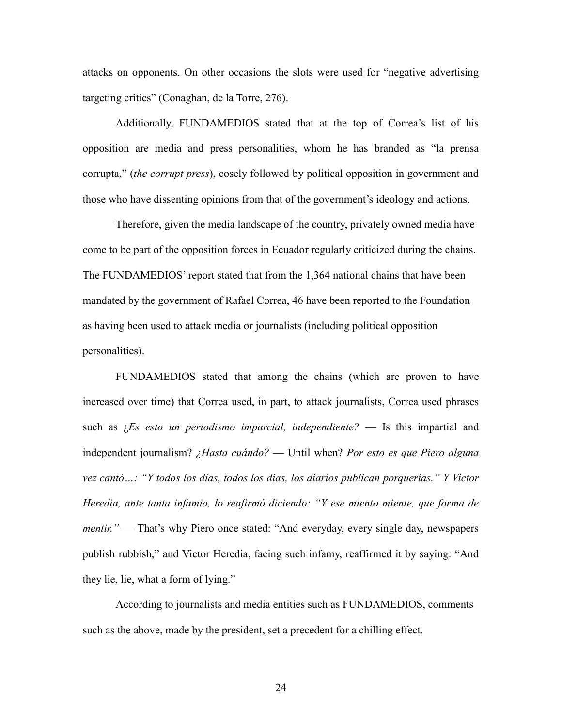attacks on opponents. On other occasions the slots were used for "negative advertising targeting critics" (Conaghan, de la Torre, 276).

Additionally, FUNDAMEDIOS stated that at the top of Correa's list of his opposition are media and press personalities, whom he has branded as "la prensa corrupta," (*the corrupt press*), cosely followed by political opposition in government and those who have dissenting opinions from that of the government's ideology and actions.

Therefore, given the media landscape of the country, privately owned media have come to be part of the opposition forces in Ecuador regularly criticized during the chains. The FUNDAMEDIOS' report stated that from the 1,364 national chains that have been mandated by the government of Rafael Correa, 46 have been reported to the Foundation as having been used to attack media or journalists (including political opposition personalities).

FUNDAMEDIOS stated that among the chains (which are proven to have increased over time) that Correa used, in part, to attack journalists, Correa used phrases such as ¿*Es esto un periodismo imparcial, independiente?* — Is this impartial and independent journalism? *¿Hasta cuándo?* — Until when? *Por esto es que Piero alguna vez cantó…: "Y todos los días, todos los dias, los diarios publican porquerías." Y Victor Heredia, ante tanta infamia, lo reafirmó diciendo: "Y ese miento miente, que forma de mentir.*" — That's why Piero once stated: "And everyday, every single day, newspapers publish rubbish," and Victor Heredia, facing such infamy, reaffirmed it by saying: "And they lie, lie, what a form of lying."

According to journalists and media entities such as FUNDAMEDIOS, comments such as the above, made by the president, set a precedent for a chilling effect.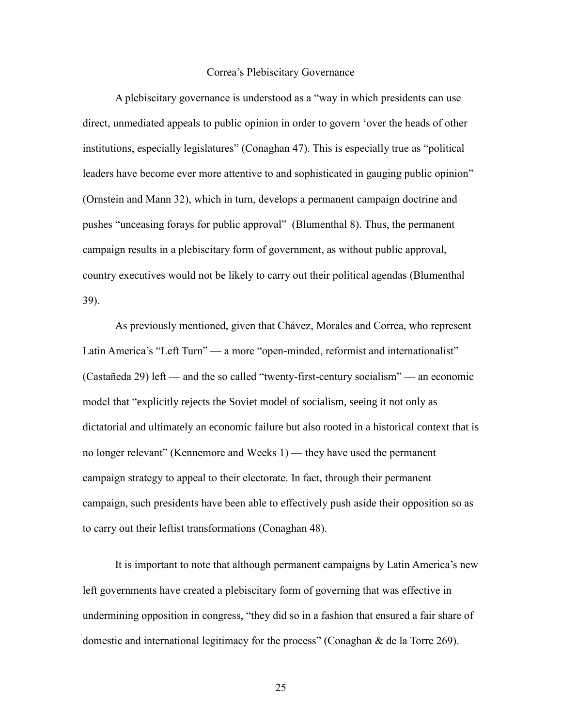#### Correa's Plebiscitary Governance

A plebiscitary governance is understood as a "way in which presidents can use direct, unmediated appeals to public opinion in order to govern 'over the heads of other institutions, especially legislatures" (Conaghan 47). This is especially true as "political leaders have become ever more attentive to and sophisticated in gauging public opinion" (Ornstein and Mann 32), which in turn, develops a permanent campaign doctrine and pushes "unceasing forays for public approval" (Blumenthal 8). Thus, the permanent campaign results in a plebiscitary form of government, as without public approval, country executives would not be likely to carry out their political agendas (Blumenthal 39).

As previously mentioned, given that Chávez, Morales and Correa, who represent Latin America's "Left Turn" — a more "open-minded, reformist and internationalist" (Castañeda 29) left — and the so called "twenty-first-century socialism" — an economic model that "explicitly rejects the Soviet model of socialism, seeing it not only as dictatorial and ultimately an economic failure but also rooted in a historical context that is no longer relevant" (Kennemore and Weeks 1) — they have used the permanent campaign strategy to appeal to their electorate. In fact, through their permanent campaign, such presidents have been able to effectively push aside their opposition so as to carry out their leftist transformations (Conaghan 48).

It is important to note that although permanent campaigns by Latin America's new left governments have created a plebiscitary form of governing that was effective in undermining opposition in congress, "they did so in a fashion that ensured a fair share of domestic and international legitimacy for the process" (Conaghan & de la Torre 269).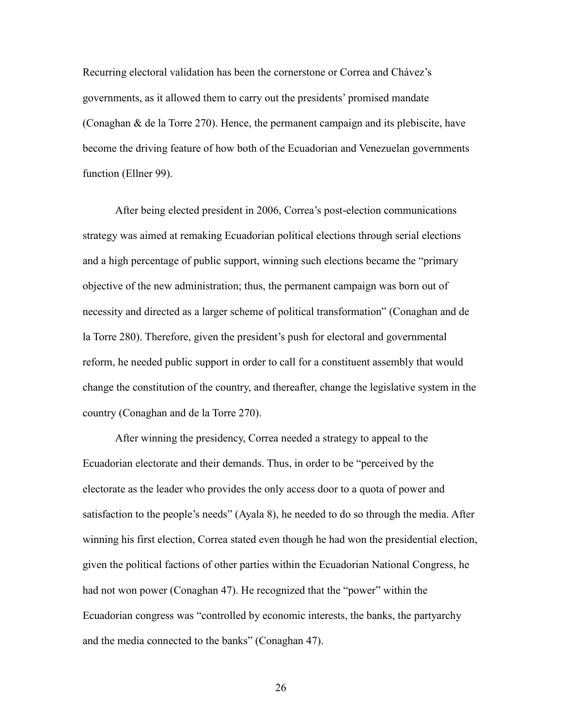Recurring electoral validation has been the cornerstone or Correa and Chávez's governments, as it allowed them to carry out the presidents' promised mandate (Conaghan & de la Torre 270). Hence, the permanent campaign and its plebiscite, have become the driving feature of how both of the Ecuadorian and Venezuelan governments function (Ellner 99).

After being elected president in 2006, Correa's post-election communications strategy was aimed at remaking Ecuadorian political elections through serial elections and a high percentage of public support, winning such elections became the "primary objective of the new administration; thus, the permanent campaign was born out of necessity and directed as a larger scheme of political transformation" (Conaghan and de la Torre 280). Therefore, given the president's push for electoral and governmental reform, he needed public support in order to call for a constituent assembly that would change the constitution of the country, and thereafter, change the legislative system in the country (Conaghan and de la Torre 270).

After winning the presidency, Correa needed a strategy to appeal to the Ecuadorian electorate and their demands. Thus, in order to be "perceived by the electorate as the leader who provides the only access door to a quota of power and satisfaction to the people's needs" (Ayala 8), he needed to do so through the media. After winning his first election, Correa stated even though he had won the presidential election, given the political factions of other parties within the Ecuadorian National Congress, he had not won power (Conaghan 47). He recognized that the "power" within the Ecuadorian congress was "controlled by economic interests, the banks, the partyarchy and the media connected to the banks" (Conaghan 47).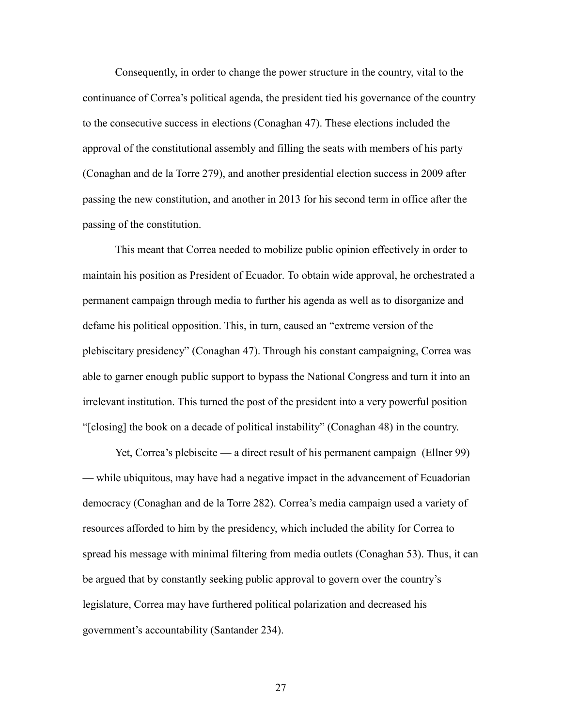Consequently, in order to change the power structure in the country, vital to the continuance of Correa's political agenda, the president tied his governance of the country to the consecutive success in elections (Conaghan 47). These elections included the approval of the constitutional assembly and filling the seats with members of his party (Conaghan and de la Torre 279), and another presidential election success in 2009 after passing the new constitution, and another in 2013 for his second term in office after the passing of the constitution.

This meant that Correa needed to mobilize public opinion effectively in order to maintain his position as President of Ecuador. To obtain wide approval, he orchestrated a permanent campaign through media to further his agenda as well as to disorganize and defame his political opposition. This, in turn, caused an "extreme version of the plebiscitary presidency" (Conaghan 47). Through his constant campaigning, Correa was able to garner enough public support to bypass the National Congress and turn it into an irrelevant institution. This turned the post of the president into a very powerful position "[closing] the book on a decade of political instability" (Conaghan 48) in the country.

Yet, Correa's plebiscite — a direct result of his permanent campaign (Ellner 99) — while ubiquitous, may have had a negative impact in the advancement of Ecuadorian democracy (Conaghan and de la Torre 282). Correa's media campaign used a variety of resources afforded to him by the presidency, which included the ability for Correa to spread his message with minimal filtering from media outlets (Conaghan 53). Thus, it can be argued that by constantly seeking public approval to govern over the country's legislature, Correa may have furthered political polarization and decreased his government's accountability (Santander 234).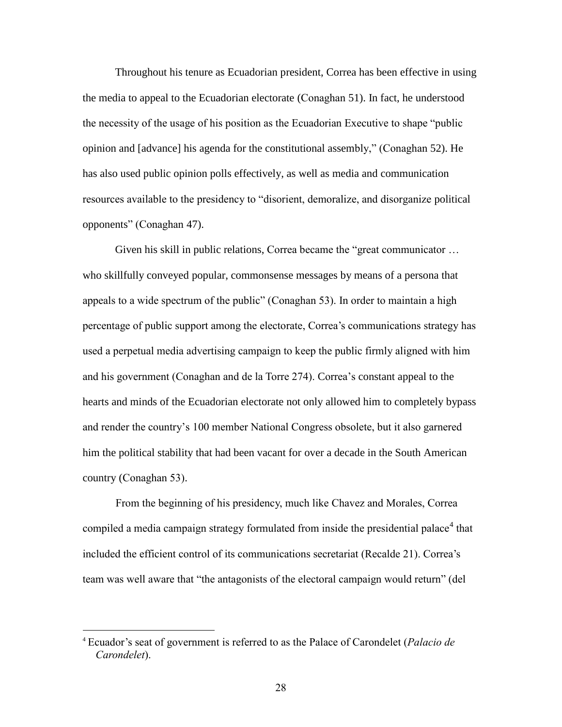Throughout his tenure as Ecuadorian president, Correa has been effective in using the media to appeal to the Ecuadorian electorate (Conaghan 51). In fact, he understood the necessity of the usage of his position as the Ecuadorian Executive to shape "public opinion and [advance] his agenda for the constitutional assembly," (Conaghan 52). He has also used public opinion polls effectively, as well as media and communication resources available to the presidency to "disorient, demoralize, and disorganize political opponents" (Conaghan 47).

Given his skill in public relations, Correa became the "great communicator … who skillfully conveyed popular, commonsense messages by means of a persona that appeals to a wide spectrum of the public" (Conaghan 53). In order to maintain a high percentage of public support among the electorate, Correa's communications strategy has used a perpetual media advertising campaign to keep the public firmly aligned with him and his government (Conaghan and de la Torre 274). Correa's constant appeal to the hearts and minds of the Ecuadorian electorate not only allowed him to completely bypass and render the country's 100 member National Congress obsolete, but it also garnered him the political stability that had been vacant for over a decade in the South American country (Conaghan 53).

From the beginning of his presidency, much like Chavez and Morales, Correa compiled a media campaign strategy formulated from inside the presidential palace<sup>4</sup> that included the efficient control of its communications secretariat (Recalde 21). Correa's team was well aware that "the antagonists of the electoral campaign would return" (del

 $\overline{a}$ 

<sup>4</sup> Ecuador's seat of government is referred to as the Palace of Carondelet (*Palacio de Carondelet*).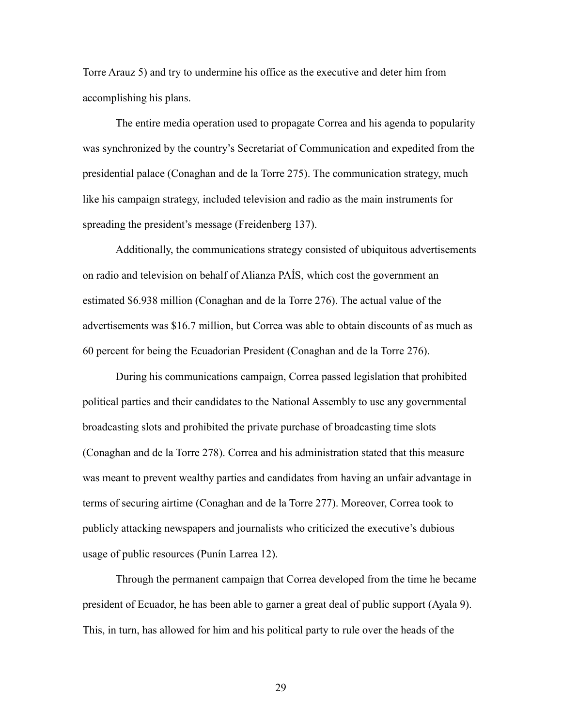Torre Arauz 5) and try to undermine his office as the executive and deter him from accomplishing his plans.

The entire media operation used to propagate Correa and his agenda to popularity was synchronized by the country's Secretariat of Communication and expedited from the presidential palace (Conaghan and de la Torre 275). The communication strategy, much like his campaign strategy, included television and radio as the main instruments for spreading the president's message (Freidenberg 137).

Additionally, the communications strategy consisted of ubiquitous advertisements on radio and television on behalf of Alianza PAÍS, which cost the government an estimated \$6.938 million (Conaghan and de la Torre 276). The actual value of the advertisements was \$16.7 million, but Correa was able to obtain discounts of as much as 60 percent for being the Ecuadorian President (Conaghan and de la Torre 276).

During his communications campaign, Correa passed legislation that prohibited political parties and their candidates to the National Assembly to use any governmental broadcasting slots and prohibited the private purchase of broadcasting time slots (Conaghan and de la Torre 278). Correa and his administration stated that this measure was meant to prevent wealthy parties and candidates from having an unfair advantage in terms of securing airtime (Conaghan and de la Torre 277). Moreover, Correa took to publicly attacking newspapers and journalists who criticized the executive's dubious usage of public resources (Punín Larrea 12).

Through the permanent campaign that Correa developed from the time he became president of Ecuador, he has been able to garner a great deal of public support (Ayala 9). This, in turn, has allowed for him and his political party to rule over the heads of the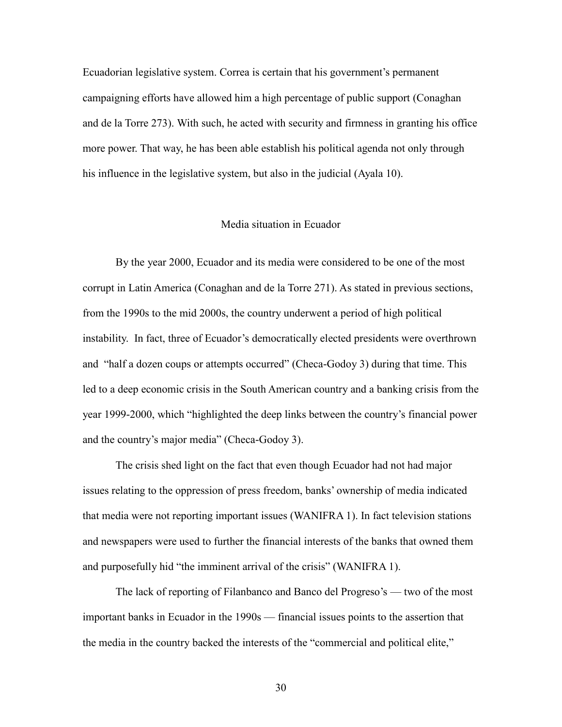Ecuadorian legislative system. Correa is certain that his government's permanent campaigning efforts have allowed him a high percentage of public support (Conaghan and de la Torre 273). With such, he acted with security and firmness in granting his office more power. That way, he has been able establish his political agenda not only through his influence in the legislative system, but also in the judicial (Ayala 10).

#### Media situation in Ecuador

By the year 2000, Ecuador and its media were considered to be one of the most corrupt in Latin America (Conaghan and de la Torre 271). As stated in previous sections, from the 1990s to the mid 2000s, the country underwent a period of high political instability. In fact, three of Ecuador's democratically elected presidents were overthrown and "half a dozen coups or attempts occurred" (Checa-Godoy 3) during that time. This led to a deep economic crisis in the South American country and a banking crisis from the year 1999-2000, which "highlighted the deep links between the country's financial power and the country's major media" (Checa-Godoy 3).

The crisis shed light on the fact that even though Ecuador had not had major issues relating to the oppression of press freedom, banks' ownership of media indicated that media were not reporting important issues (WANIFRA 1). In fact television stations and newspapers were used to further the financial interests of the banks that owned them and purposefully hid "the imminent arrival of the crisis" (WANIFRA 1).

The lack of reporting of Filanbanco and Banco del Progreso's — two of the most important banks in Ecuador in the 1990s — financial issues points to the assertion that the media in the country backed the interests of the "commercial and political elite,"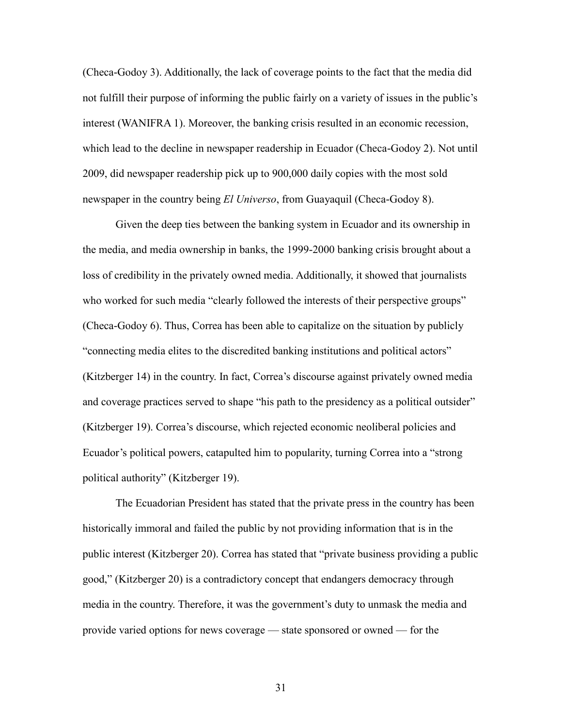(Checa-Godoy 3). Additionally, the lack of coverage points to the fact that the media did not fulfill their purpose of informing the public fairly on a variety of issues in the public's interest (WANIFRA 1). Moreover, the banking crisis resulted in an economic recession, which lead to the decline in newspaper readership in Ecuador (Checa-Godoy 2). Not until 2009, did newspaper readership pick up to 900,000 daily copies with the most sold newspaper in the country being *El Universo*, from Guayaquil (Checa-Godoy 8).

Given the deep ties between the banking system in Ecuador and its ownership in the media, and media ownership in banks, the 1999-2000 banking crisis brought about a loss of credibility in the privately owned media. Additionally, it showed that journalists who worked for such media "clearly followed the interests of their perspective groups" (Checa-Godoy 6). Thus, Correa has been able to capitalize on the situation by publicly "connecting media elites to the discredited banking institutions and political actors" (Kitzberger 14) in the country. In fact, Correa's discourse against privately owned media and coverage practices served to shape "his path to the presidency as a political outsider" (Kitzberger 19). Correa's discourse, which rejected economic neoliberal policies and Ecuador's political powers, catapulted him to popularity, turning Correa into a "strong political authority" (Kitzberger 19).

The Ecuadorian President has stated that the private press in the country has been historically immoral and failed the public by not providing information that is in the public interest (Kitzberger 20). Correa has stated that "private business providing a public good," (Kitzberger 20) is a contradictory concept that endangers democracy through media in the country. Therefore, it was the government's duty to unmask the media and provide varied options for news coverage — state sponsored or owned — for the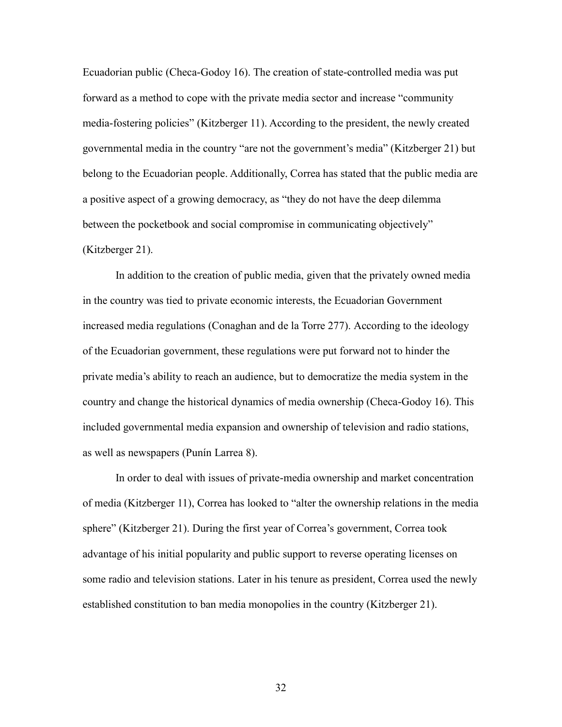Ecuadorian public (Checa-Godoy 16). The creation of state-controlled media was put forward as a method to cope with the private media sector and increase "community media-fostering policies" (Kitzberger 11). According to the president, the newly created governmental media in the country "are not the government's media" (Kitzberger 21) but belong to the Ecuadorian people. Additionally, Correa has stated that the public media are a positive aspect of a growing democracy, as "they do not have the deep dilemma between the pocketbook and social compromise in communicating objectively" (Kitzberger 21).

In addition to the creation of public media, given that the privately owned media in the country was tied to private economic interests, the Ecuadorian Government increased media regulations (Conaghan and de la Torre 277). According to the ideology of the Ecuadorian government, these regulations were put forward not to hinder the private media's ability to reach an audience, but to democratize the media system in the country and change the historical dynamics of media ownership (Checa-Godoy 16). This included governmental media expansion and ownership of television and radio stations, as well as newspapers (Punín Larrea 8).

In order to deal with issues of private-media ownership and market concentration of media (Kitzberger 11), Correa has looked to "alter the ownership relations in the media sphere" (Kitzberger 21). During the first year of Correa's government, Correa took advantage of his initial popularity and public support to reverse operating licenses on some radio and television stations. Later in his tenure as president, Correa used the newly established constitution to ban media monopolies in the country (Kitzberger 21).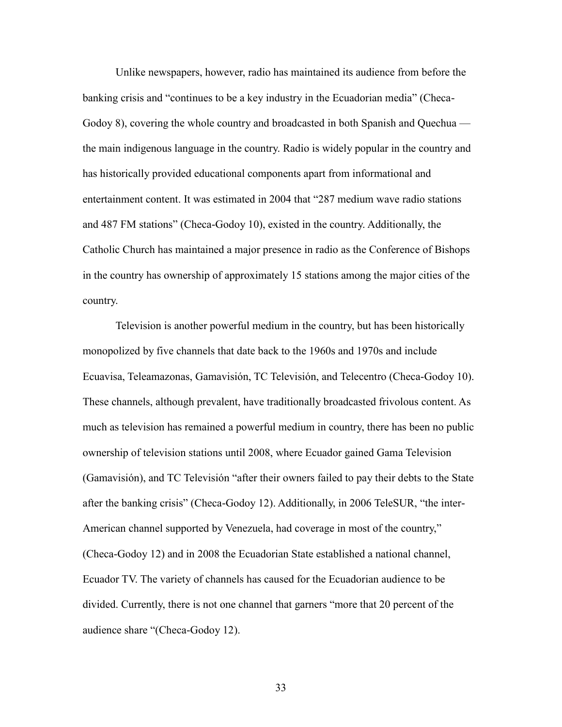Unlike newspapers, however, radio has maintained its audience from before the banking crisis and "continues to be a key industry in the Ecuadorian media" (Checa-Godoy 8), covering the whole country and broadcasted in both Spanish and Quechua the main indigenous language in the country. Radio is widely popular in the country and has historically provided educational components apart from informational and entertainment content. It was estimated in 2004 that "287 medium wave radio stations and 487 FM stations" (Checa-Godoy 10), existed in the country. Additionally, the Catholic Church has maintained a major presence in radio as the Conference of Bishops in the country has ownership of approximately 15 stations among the major cities of the country.

Television is another powerful medium in the country, but has been historically monopolized by five channels that date back to the 1960s and 1970s and include Ecuavisa, Teleamazonas, Gamavisión, TC Televisión, and Telecentro (Checa-Godoy 10). These channels, although prevalent, have traditionally broadcasted frivolous content. As much as television has remained a powerful medium in country, there has been no public ownership of television stations until 2008, where Ecuador gained Gama Television (Gamavisión), and TC Televisión "after their owners failed to pay their debts to the State after the banking crisis" (Checa-Godoy 12). Additionally, in 2006 TeleSUR, "the inter-American channel supported by Venezuela, had coverage in most of the country," (Checa-Godoy 12) and in 2008 the Ecuadorian State established a national channel, Ecuador TV. The variety of channels has caused for the Ecuadorian audience to be divided. Currently, there is not one channel that garners "more that 20 percent of the audience share "(Checa-Godoy 12).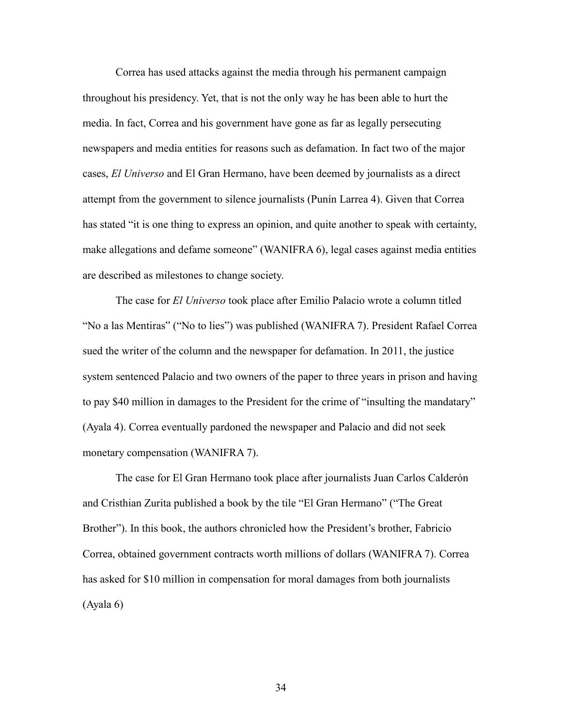Correa has used attacks against the media through his permanent campaign throughout his presidency. Yet, that is not the only way he has been able to hurt the media. In fact, Correa and his government have gone as far as legally persecuting newspapers and media entities for reasons such as defamation. In fact two of the major cases, *El Universo* and El Gran Hermano, have been deemed by journalists as a direct attempt from the government to silence journalists (Punín Larrea 4). Given that Correa has stated "it is one thing to express an opinion, and quite another to speak with certainty, make allegations and defame someone" (WANIFRA 6), legal cases against media entities are described as milestones to change society.

The case for *El Universo* took place after Emilio Palacio wrote a column titled "No a las Mentiras" ("No to lies") was published (WANIFRA 7). President Rafael Correa sued the writer of the column and the newspaper for defamation. In 2011, the justice system sentenced Palacio and two owners of the paper to three years in prison and having to pay \$40 million in damages to the President for the crime of "insulting the mandatary" (Ayala 4). Correa eventually pardoned the newspaper and Palacio and did not seek monetary compensation (WANIFRA 7).

The case for El Gran Hermano took place after journalists Juan Carlos Calderón and Cristhian Zurita published a book by the tile "El Gran Hermano" ("The Great Brother"). In this book, the authors chronicled how the President's brother, Fabricio Correa, obtained government contracts worth millions of dollars (WANIFRA 7). Correa has asked for \$10 million in compensation for moral damages from both journalists (Ayala 6)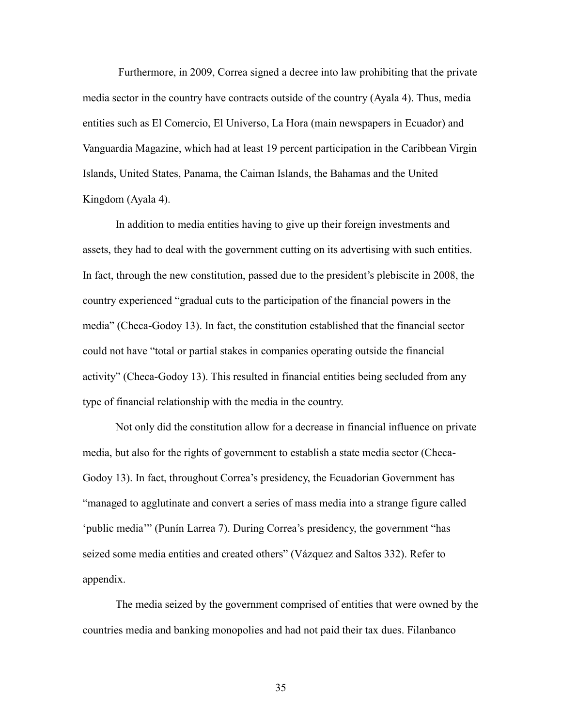Furthermore, in 2009, Correa signed a decree into law prohibiting that the private media sector in the country have contracts outside of the country (Ayala 4). Thus, media entities such as El Comercio, El Universo, La Hora (main newspapers in Ecuador) and Vanguardia Magazine, which had at least 19 percent participation in the Caribbean Virgin Islands, United States, Panama, the Caiman Islands, the Bahamas and the United Kingdom (Ayala 4).

In addition to media entities having to give up their foreign investments and assets, they had to deal with the government cutting on its advertising with such entities. In fact, through the new constitution, passed due to the president's plebiscite in 2008, the country experienced "gradual cuts to the participation of the financial powers in the media" (Checa-Godoy 13). In fact, the constitution established that the financial sector could not have "total or partial stakes in companies operating outside the financial activity" (Checa-Godoy 13). This resulted in financial entities being secluded from any type of financial relationship with the media in the country.

Not only did the constitution allow for a decrease in financial influence on private media, but also for the rights of government to establish a state media sector (Checa-Godoy 13). In fact, throughout Correa's presidency, the Ecuadorian Government has "managed to agglutinate and convert a series of mass media into a strange figure called 'public media'" (Punín Larrea 7). During Correa's presidency, the government "has seized some media entities and created others" (Vázquez and Saltos 332). Refer to appendix.

The media seized by the government comprised of entities that were owned by the countries media and banking monopolies and had not paid their tax dues. Filanbanco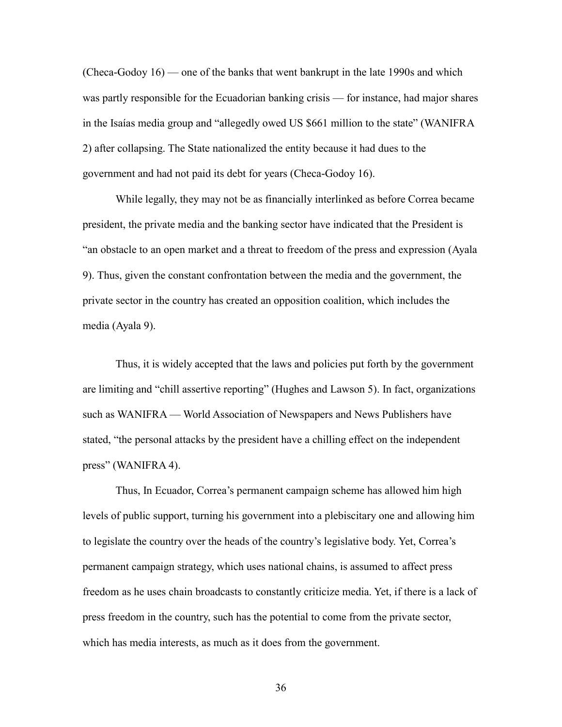(Checa-Godoy 16) — one of the banks that went bankrupt in the late 1990s and which was partly responsible for the Ecuadorian banking crisis — for instance, had major shares in the Isaías media group and "allegedly owed US \$661 million to the state" (WANIFRA 2) after collapsing. The State nationalized the entity because it had dues to the government and had not paid its debt for years (Checa-Godoy 16).

While legally, they may not be as financially interlinked as before Correa became president, the private media and the banking sector have indicated that the President is "an obstacle to an open market and a threat to freedom of the press and expression (Ayala 9). Thus, given the constant confrontation between the media and the government, the private sector in the country has created an opposition coalition, which includes the media (Ayala 9).

Thus, it is widely accepted that the laws and policies put forth by the government are limiting and "chill assertive reporting" (Hughes and Lawson 5). In fact, organizations such as WANIFRA — World Association of Newspapers and News Publishers have stated, "the personal attacks by the president have a chilling effect on the independent press" (WANIFRA 4).

Thus, In Ecuador, Correa's permanent campaign scheme has allowed him high levels of public support, turning his government into a plebiscitary one and allowing him to legislate the country over the heads of the country's legislative body. Yet, Correa's permanent campaign strategy, which uses national chains, is assumed to affect press freedom as he uses chain broadcasts to constantly criticize media. Yet, if there is a lack of press freedom in the country, such has the potential to come from the private sector, which has media interests, as much as it does from the government.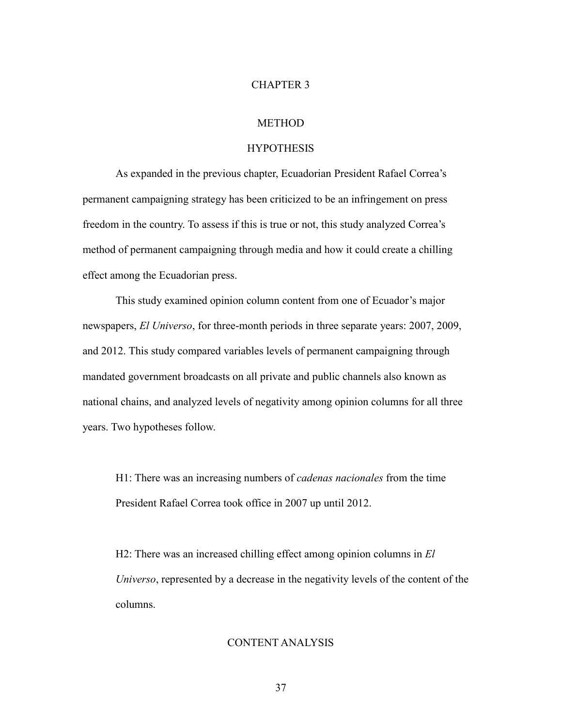#### CHAPTER 3

# **METHOD**

#### HYPOTHESIS

As expanded in the previous chapter, Ecuadorian President Rafael Correa's permanent campaigning strategy has been criticized to be an infringement on press freedom in the country. To assess if this is true or not, this study analyzed Correa's method of permanent campaigning through media and how it could create a chilling effect among the Ecuadorian press.

This study examined opinion column content from one of Ecuador's major newspapers, *El Universo*, for three-month periods in three separate years: 2007, 2009, and 2012. This study compared variables levels of permanent campaigning through mandated government broadcasts on all private and public channels also known as national chains, and analyzed levels of negativity among opinion columns for all three years. Two hypotheses follow.

H1: There was an increasing numbers of *cadenas nacionales* from the time President Rafael Correa took office in 2007 up until 2012.

H2: There was an increased chilling effect among opinion columns in *El Universo*, represented by a decrease in the negativity levels of the content of the columns.

# CONTENT ANALYSIS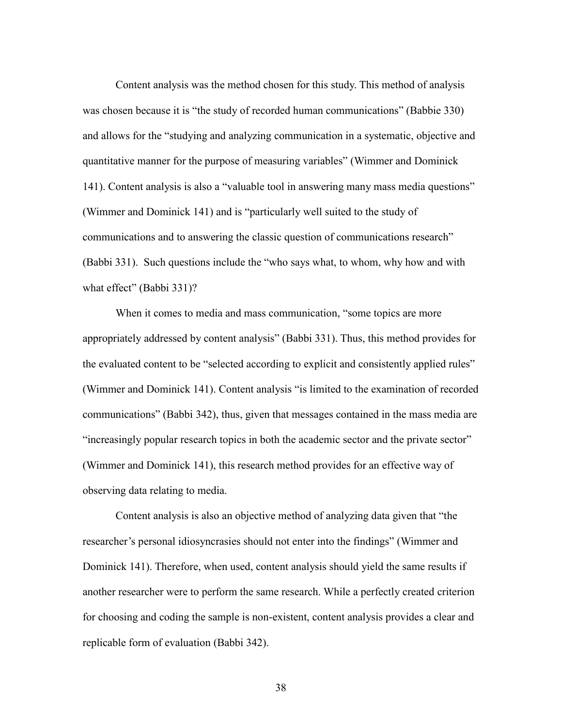Content analysis was the method chosen for this study. This method of analysis was chosen because it is "the study of recorded human communications" (Babbie 330) and allows for the "studying and analyzing communication in a systematic, objective and quantitative manner for the purpose of measuring variables" (Wimmer and Dominick 141). Content analysis is also a "valuable tool in answering many mass media questions" (Wimmer and Dominick 141) and is "particularly well suited to the study of communications and to answering the classic question of communications research" (Babbi 331). Such questions include the "who says what, to whom, why how and with what effect" (Babbi 331)?

When it comes to media and mass communication, "some topics are more appropriately addressed by content analysis" (Babbi 331). Thus, this method provides for the evaluated content to be "selected according to explicit and consistently applied rules" (Wimmer and Dominick 141). Content analysis "is limited to the examination of recorded communications" (Babbi 342), thus, given that messages contained in the mass media are "increasingly popular research topics in both the academic sector and the private sector" (Wimmer and Dominick 141), this research method provides for an effective way of observing data relating to media.

Content analysis is also an objective method of analyzing data given that "the researcher's personal idiosyncrasies should not enter into the findings" (Wimmer and Dominick 141). Therefore, when used, content analysis should yield the same results if another researcher were to perform the same research. While a perfectly created criterion for choosing and coding the sample is non-existent, content analysis provides a clear and replicable form of evaluation (Babbi 342).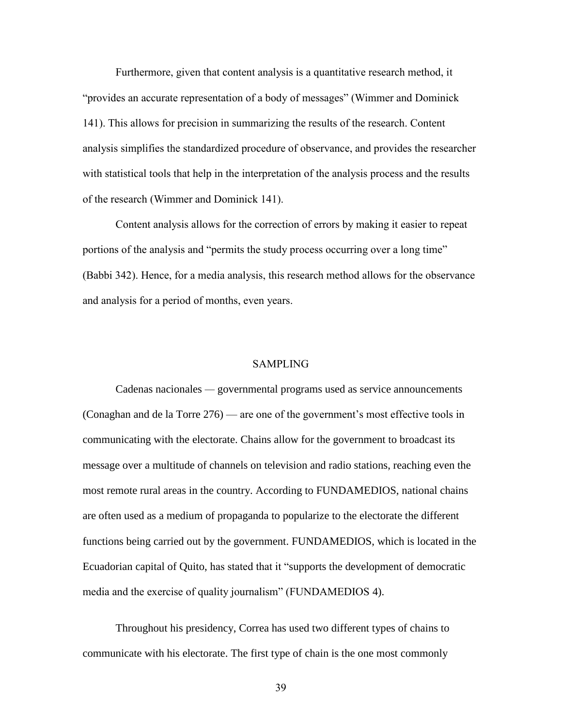Furthermore, given that content analysis is a quantitative research method, it "provides an accurate representation of a body of messages" (Wimmer and Dominick 141). This allows for precision in summarizing the results of the research. Content analysis simplifies the standardized procedure of observance, and provides the researcher with statistical tools that help in the interpretation of the analysis process and the results of the research (Wimmer and Dominick 141).

Content analysis allows for the correction of errors by making it easier to repeat portions of the analysis and "permits the study process occurring over a long time" (Babbi 342). Hence, for a media analysis, this research method allows for the observance and analysis for a period of months, even years.

#### SAMPLING

Cadenas nacionales *—* governmental programs used as service announcements (Conaghan and de la Torre 276) — are one of the government's most effective tools in communicating with the electorate. Chains allow for the government to broadcast its message over a multitude of channels on television and radio stations, reaching even the most remote rural areas in the country. According to FUNDAMEDIOS, national chains are often used as a medium of propaganda to popularize to the electorate the different functions being carried out by the government. FUNDAMEDIOS, which is located in the Ecuadorian capital of Quito, has stated that it "supports the development of democratic media and the exercise of quality journalism" (FUNDAMEDIOS 4).

Throughout his presidency, Correa has used two different types of chains to communicate with his electorate. The first type of chain is the one most commonly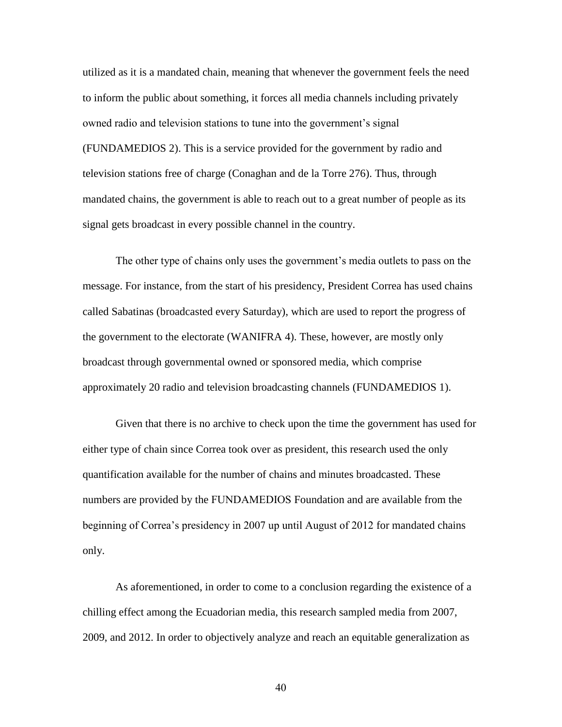utilized as it is a mandated chain, meaning that whenever the government feels the need to inform the public about something, it forces all media channels including privately owned radio and television stations to tune into the government's signal (FUNDAMEDIOS 2). This is a service provided for the government by radio and television stations free of charge (Conaghan and de la Torre 276). Thus, through mandated chains, the government is able to reach out to a great number of people as its signal gets broadcast in every possible channel in the country.

The other type of chains only uses the government's media outlets to pass on the message. For instance, from the start of his presidency, President Correa has used chains called Sabatinas (broadcasted every Saturday), which are used to report the progress of the government to the electorate (WANIFRA 4). These, however, are mostly only broadcast through governmental owned or sponsored media, which comprise approximately 20 radio and television broadcasting channels (FUNDAMEDIOS 1).

Given that there is no archive to check upon the time the government has used for either type of chain since Correa took over as president, this research used the only quantification available for the number of chains and minutes broadcasted. These numbers are provided by the FUNDAMEDIOS Foundation and are available from the beginning of Correa's presidency in 2007 up until August of 2012 for mandated chains only.

As aforementioned, in order to come to a conclusion regarding the existence of a chilling effect among the Ecuadorian media, this research sampled media from 2007, 2009, and 2012. In order to objectively analyze and reach an equitable generalization as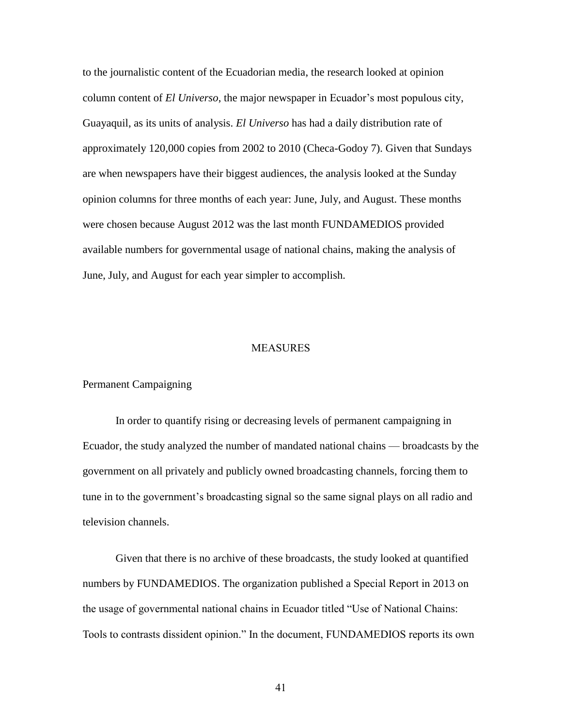to the journalistic content of the Ecuadorian media, the research looked at opinion column content of *El Universo*, the major newspaper in Ecuador's most populous city, Guayaquil, as its units of analysis. *El Universo* has had a daily distribution rate of approximately 120,000 copies from 2002 to 2010 (Checa-Godoy 7). Given that Sundays are when newspapers have their biggest audiences, the analysis looked at the Sunday opinion columns for three months of each year: June, July, and August. These months were chosen because August 2012 was the last month FUNDAMEDIOS provided available numbers for governmental usage of national chains, making the analysis of June, July, and August for each year simpler to accomplish.

#### MEASURES

## Permanent Campaigning

In order to quantify rising or decreasing levels of permanent campaigning in Ecuador, the study analyzed the number of mandated national chains — broadcasts by the government on all privately and publicly owned broadcasting channels, forcing them to tune in to the government's broadcasting signal so the same signal plays on all radio and television channels.

Given that there is no archive of these broadcasts, the study looked at quantified numbers by FUNDAMEDIOS. The organization published a Special Report in 2013 on the usage of governmental national chains in Ecuador titled "Use of National Chains: Tools to contrasts dissident opinion." In the document, FUNDAMEDIOS reports its own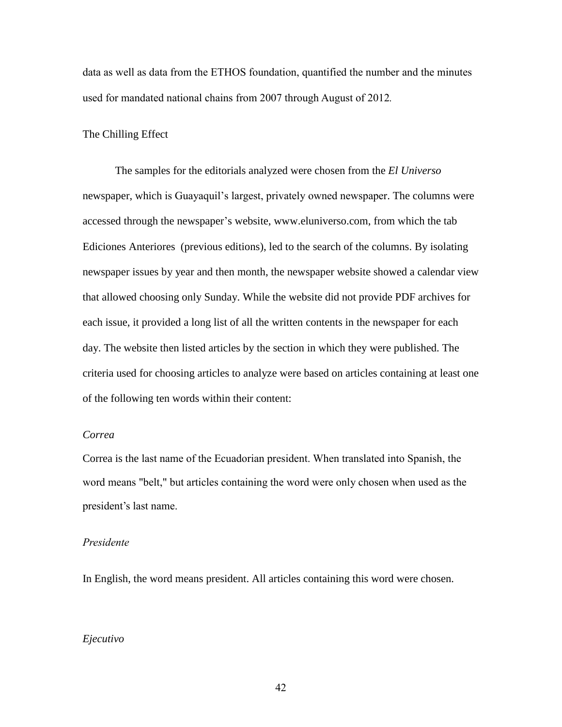data as well as data from the ETHOS foundation, quantified the number and the minutes used for mandated national chains from 2007 through August of 2012*.* 

#### The Chilling Effect

The samples for the editorials analyzed were chosen from the *El Universo* newspaper, which is Guayaquil's largest, privately owned newspaper. The columns were accessed through the newspaper's website, [www.eluniverso.com,](http://www.eluniverso.com/) from which the tab Ediciones Anteriores (previous editions), led to the search of the columns. By isolating newspaper issues by year and then month, the newspaper website showed a calendar view that allowed choosing only Sunday. While the website did not provide PDF archives for each issue, it provided a long list of all the written contents in the newspaper for each day. The website then listed articles by the section in which they were published. The criteria used for choosing articles to analyze were based on articles containing at least one of the following ten words within their content:

# *Correa*

Correa is the last name of the Ecuadorian president. When translated into Spanish, the word means "belt," but articles containing the word were only chosen when used as the president's last name.

#### *Presidente*

In English, the word means president. All articles containing this word were chosen.

#### *Ejecutivo*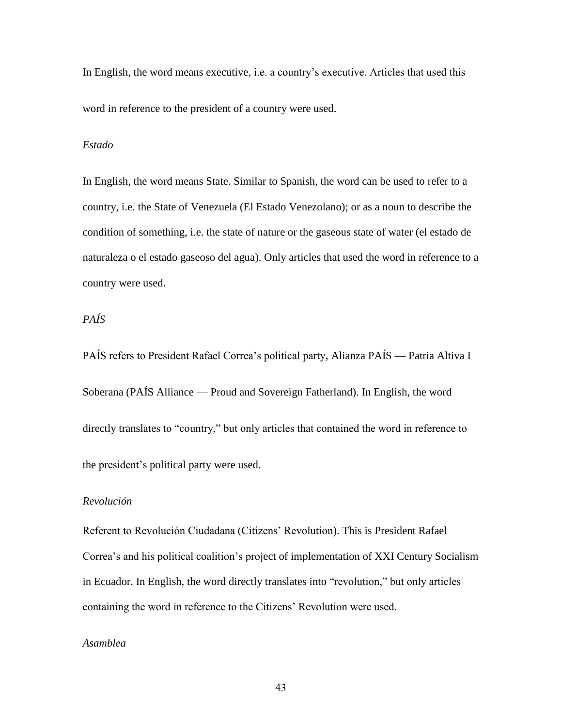In English, the word means executive, i.e. a country's executive. Articles that used this word in reference to the president of a country were used.

#### *Estado*

In English, the word means State. Similar to Spanish, the word can be used to refer to a country, i.e. the State of Venezuela (El Estado Venezolano); or as a noun to describe the condition of something, i.e. the state of nature or the gaseous state of water (el estado de naturaleza o el estado gaseoso del agua). Only articles that used the word in reference to a country were used.

# *PAÍS*

PAÍS refers to President Rafael Correa's political party, Alianza PAÍS — Patria Altiva I Soberana (PAÍS Alliance — Proud and Sovereign Fatherland). In English, the word directly translates to "country," but only articles that contained the word in reference to the president's political party were used.

#### *Revolución*

Referent to Revolución Ciudadana (Citizens' Revolution). This is President Rafael Correa's and his political coalition's project of implementation of XXI Century Socialism in Ecuador. In English, the word directly translates into "revolution," but only articles containing the word in reference to the Citizens' Revolution were used.

# *Asamblea*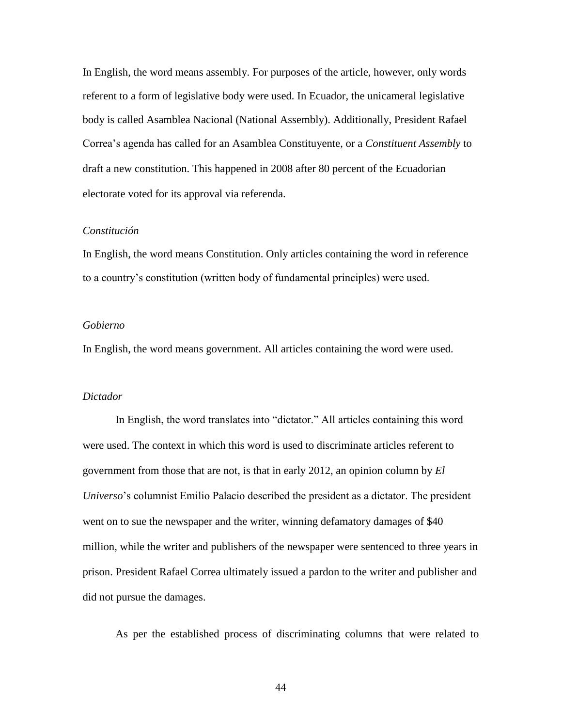In English, the word means assembly. For purposes of the article, however, only words referent to a form of legislative body were used. In Ecuador, the unicameral legislative body is called Asamblea Nacional (National Assembly). Additionally, President Rafael Correa's agenda has called for an Asamblea Constituyente, or a *Constituent Assembly* to draft a new constitution. This happened in 2008 after 80 percent of the Ecuadorian electorate voted for its approval via referenda.

#### *Constitución*

In English, the word means Constitution. Only articles containing the word in reference to a country's constitution (written body of fundamental principles) were used.

#### *Gobierno*

In English, the word means government. All articles containing the word were used.

#### *Dictador*

In English, the word translates into "dictator." All articles containing this word were used. The context in which this word is used to discriminate articles referent to government from those that are not, is that in early 2012, an opinion column by *El Universo*'s columnist Emilio Palacio described the president as a dictator. The president went on to sue the newspaper and the writer, winning defamatory damages of \$40 million, while the writer and publishers of the newspaper were sentenced to three years in prison. President Rafael Correa ultimately issued a pardon to the writer and publisher and did not pursue the damages.

As per the established process of discriminating columns that were related to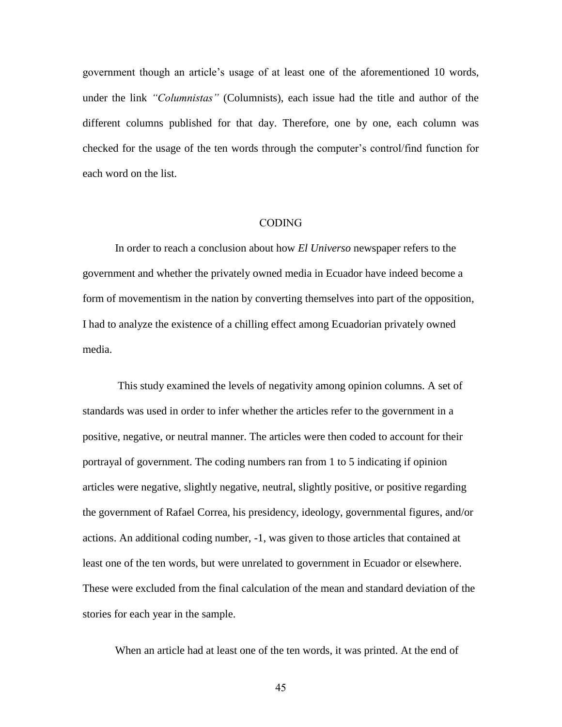government though an article's usage of at least one of the aforementioned 10 words, under the link *"Columnistas"* (Columnists), each issue had the title and author of the different columns published for that day. Therefore, one by one, each column was checked for the usage of the ten words through the computer's control/find function for each word on the list.

#### CODING

In order to reach a conclusion about how *El Universo* newspaper refers to the government and whether the privately owned media in Ecuador have indeed become a form of movementism in the nation by converting themselves into part of the opposition, I had to analyze the existence of a chilling effect among Ecuadorian privately owned media.

This study examined the levels of negativity among opinion columns. A set of standards was used in order to infer whether the articles refer to the government in a positive, negative, or neutral manner. The articles were then coded to account for their portrayal of government. The coding numbers ran from 1 to 5 indicating if opinion articles were negative, slightly negative, neutral, slightly positive, or positive regarding the government of Rafael Correa, his presidency, ideology, governmental figures, and/or actions. An additional coding number, -1, was given to those articles that contained at least one of the ten words, but were unrelated to government in Ecuador or elsewhere. These were excluded from the final calculation of the mean and standard deviation of the stories for each year in the sample.

When an article had at least one of the ten words, it was printed. At the end of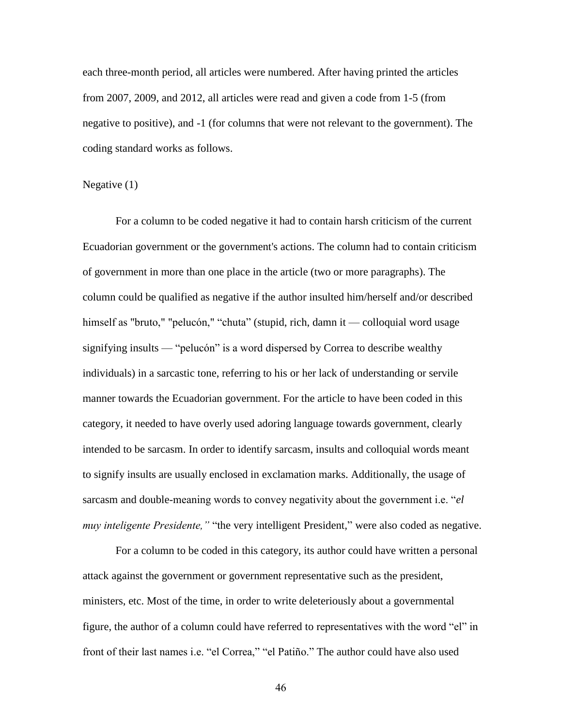each three-month period, all articles were numbered. After having printed the articles from 2007, 2009, and 2012, all articles were read and given a code from 1-5 (from negative to positive), and -1 (for columns that were not relevant to the government). The coding standard works as follows.

#### Negative (1)

For a column to be coded negative it had to contain harsh criticism of the current Ecuadorian government or the government's actions. The column had to contain criticism of government in more than one place in the article (two or more paragraphs). The column could be qualified as negative if the author insulted him/herself and/or described himself as "bruto," "pelucón," "chuta" (stupid, rich, damn it — colloquial word usage signifying insults — "pelucón" is a word dispersed by Correa to describe wealthy individuals) in a sarcastic tone, referring to his or her lack of understanding or servile manner towards the Ecuadorian government. For the article to have been coded in this category, it needed to have overly used adoring language towards government, clearly intended to be sarcasm. In order to identify sarcasm, insults and colloquial words meant to signify insults are usually enclosed in exclamation marks. Additionally, the usage of sarcasm and double-meaning words to convey negativity about the government i.e. "*el muy inteligente Presidente,"* "the very intelligent President*,*" were also coded as negative.

For a column to be coded in this category, its author could have written a personal attack against the government or government representative such as the president, ministers, etc. Most of the time, in order to write deleteriously about a governmental figure, the author of a column could have referred to representatives with the word "el" in front of their last names i.e. "el Correa," "el Patiño." The author could have also used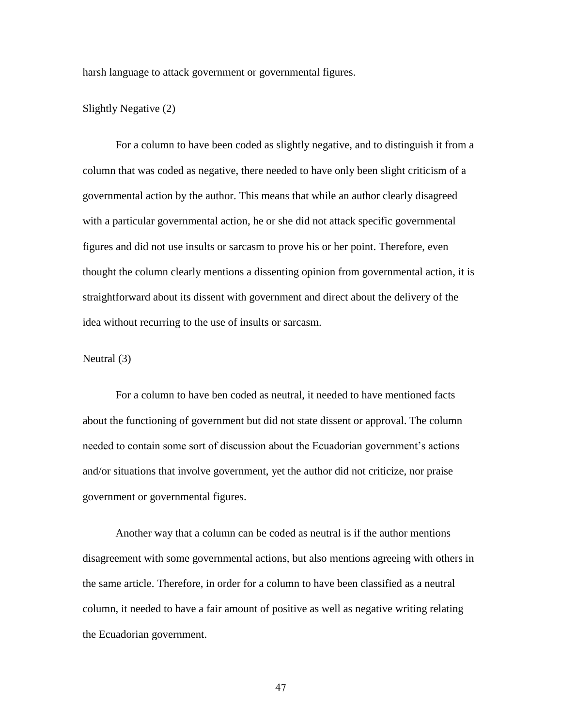harsh language to attack government or governmental figures.

#### Slightly Negative (2)

For a column to have been coded as slightly negative, and to distinguish it from a column that was coded as negative, there needed to have only been slight criticism of a governmental action by the author. This means that while an author clearly disagreed with a particular governmental action, he or she did not attack specific governmental figures and did not use insults or sarcasm to prove his or her point. Therefore, even thought the column clearly mentions a dissenting opinion from governmental action, it is straightforward about its dissent with government and direct about the delivery of the idea without recurring to the use of insults or sarcasm.

### Neutral (3)

For a column to have ben coded as neutral, it needed to have mentioned facts about the functioning of government but did not state dissent or approval. The column needed to contain some sort of discussion about the Ecuadorian government's actions and/or situations that involve government, yet the author did not criticize, nor praise government or governmental figures.

Another way that a column can be coded as neutral is if the author mentions disagreement with some governmental actions, but also mentions agreeing with others in the same article. Therefore, in order for a column to have been classified as a neutral column, it needed to have a fair amount of positive as well as negative writing relating the Ecuadorian government.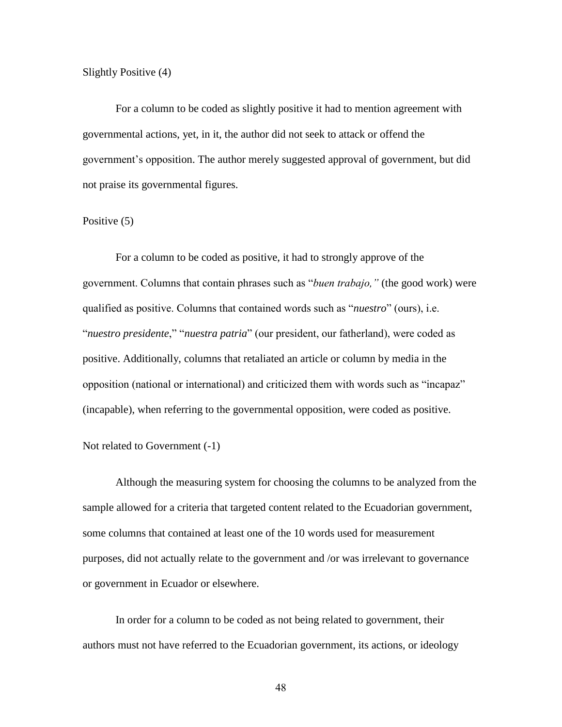Slightly Positive (4)

For a column to be coded as slightly positive it had to mention agreement with governmental actions, yet, in it, the author did not seek to attack or offend the government's opposition. The author merely suggested approval of government, but did not praise its governmental figures.

#### Positive  $(5)$

For a column to be coded as positive, it had to strongly approve of the government. Columns that contain phrases such as "*buen trabajo,"* (the good work) were qualified as positive. Columns that contained words such as "*nuestro*" (ours), i.e. "*nuestro presidente*," "*nuestra patria*" (our president, our fatherland), were coded as positive. Additionally, columns that retaliated an article or column by media in the opposition (national or international) and criticized them with words such as "incapaz" (incapable), when referring to the governmental opposition, were coded as positive.

### Not related to Government (-1)

Although the measuring system for choosing the columns to be analyzed from the sample allowed for a criteria that targeted content related to the Ecuadorian government, some columns that contained at least one of the 10 words used for measurement purposes, did not actually relate to the government and /or was irrelevant to governance or government in Ecuador or elsewhere.

In order for a column to be coded as not being related to government, their authors must not have referred to the Ecuadorian government, its actions, or ideology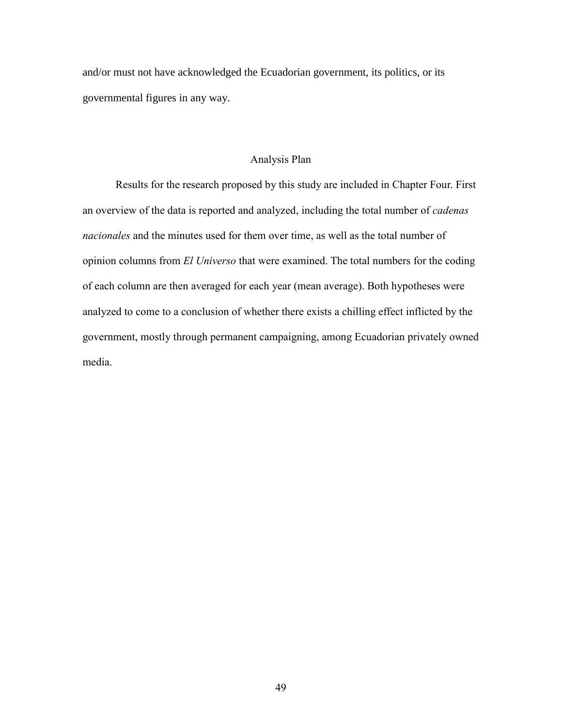and/or must not have acknowledged the Ecuadorian government, its politics, or its governmental figures in any way.

# Analysis Plan

Results for the research proposed by this study are included in Chapter Four. First an overview of the data is reported and analyzed, including the total number of *cadenas nacionales* and the minutes used for them over time, as well as the total number of opinion columns from *El Universo* that were examined. The total numbers for the coding of each column are then averaged for each year (mean average). Both hypotheses were analyzed to come to a conclusion of whether there exists a chilling effect inflicted by the government, mostly through permanent campaigning, among Ecuadorian privately owned media.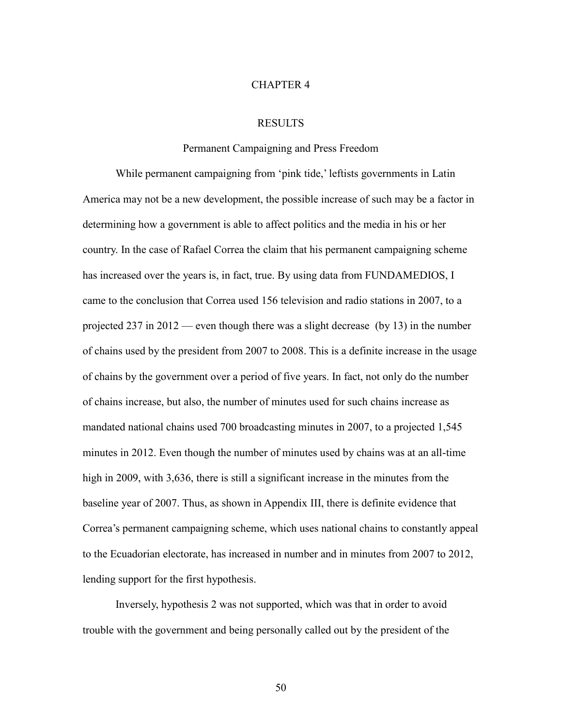#### CHAPTER 4

## RESULTS

#### Permanent Campaigning and Press Freedom

While permanent campaigning from 'pink tide,' leftists governments in Latin America may not be a new development, the possible increase of such may be a factor in determining how a government is able to affect politics and the media in his or her country. In the case of Rafael Correa the claim that his permanent campaigning scheme has increased over the years is, in fact, true. By using data from FUNDAMEDIOS, I came to the conclusion that Correa used 156 television and radio stations in 2007, to a projected 237 in 2012 — even though there was a slight decrease (by 13) in the number of chains used by the president from 2007 to 2008. This is a definite increase in the usage of chains by the government over a period of five years. In fact, not only do the number of chains increase, but also, the number of minutes used for such chains increase as mandated national chains used 700 broadcasting minutes in 2007, to a projected 1,545 minutes in 2012. Even though the number of minutes used by chains was at an all-time high in 2009, with 3,636, there is still a significant increase in the minutes from the baseline year of 2007. Thus, as shown in Appendix III, there is definite evidence that Correa's permanent campaigning scheme, which uses national chains to constantly appeal to the Ecuadorian electorate, has increased in number and in minutes from 2007 to 2012, lending support for the first hypothesis.

Inversely, hypothesis 2 was not supported, which was that in order to avoid trouble with the government and being personally called out by the president of the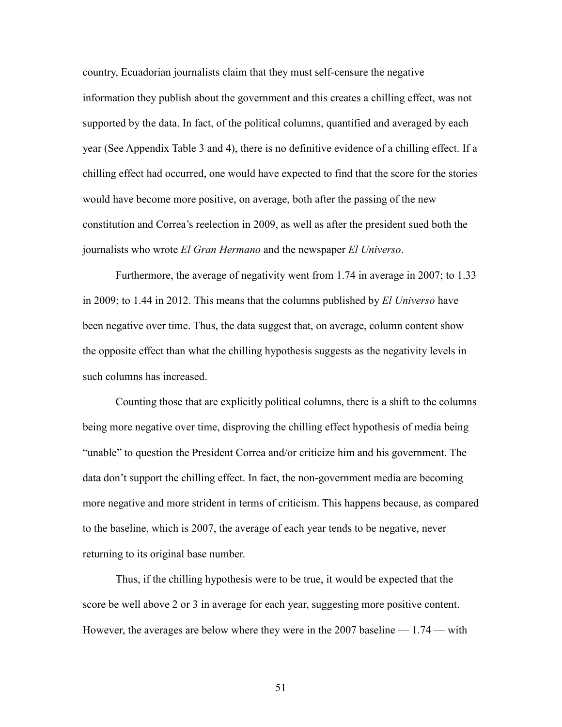country, Ecuadorian journalists claim that they must self-censure the negative information they publish about the government and this creates a chilling effect, was not supported by the data. In fact, of the political columns, quantified and averaged by each year (See Appendix Table 3 and 4), there is no definitive evidence of a chilling effect. If a chilling effect had occurred, one would have expected to find that the score for the stories would have become more positive, on average, both after the passing of the new constitution and Correa's reelection in 2009, as well as after the president sued both the journalists who wrote *El Gran Hermano* and the newspaper *El Universo*.

Furthermore, the average of negativity went from 1.74 in average in 2007; to 1.33 in 2009; to 1.44 in 2012. This means that the columns published by *El Universo* have been negative over time. Thus, the data suggest that, on average, column content show the opposite effect than what the chilling hypothesis suggests as the negativity levels in such columns has increased.

Counting those that are explicitly political columns, there is a shift to the columns being more negative over time, disproving the chilling effect hypothesis of media being "unable" to question the President Correa and/or criticize him and his government. The data don't support the chilling effect. In fact, the non-government media are becoming more negative and more strident in terms of criticism. This happens because, as compared to the baseline, which is 2007, the average of each year tends to be negative, never returning to its original base number.

Thus, if the chilling hypothesis were to be true, it would be expected that the score be well above 2 or 3 in average for each year, suggesting more positive content. However, the averages are below where they were in the 2007 baseline — 1.74 — with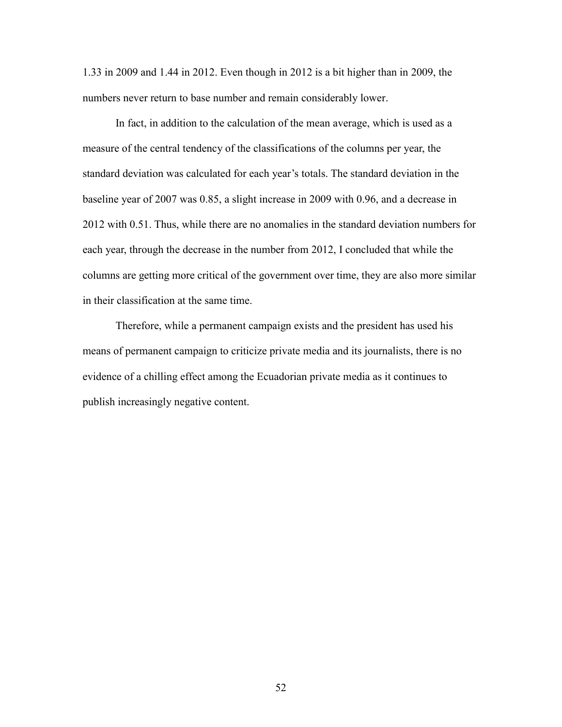1.33 in 2009 and 1.44 in 2012. Even though in 2012 is a bit higher than in 2009, the numbers never return to base number and remain considerably lower.

In fact, in addition to the calculation of the mean average, which is used as a measure of the central tendency of the classifications of the columns per year, the standard deviation was calculated for each year's totals. The standard deviation in the baseline year of 2007 was 0.85, a slight increase in 2009 with 0.96, and a decrease in 2012 with 0.51. Thus, while there are no anomalies in the standard deviation numbers for each year, through the decrease in the number from 2012, I concluded that while the columns are getting more critical of the government over time, they are also more similar in their classification at the same time.

Therefore, while a permanent campaign exists and the president has used his means of permanent campaign to criticize private media and its journalists, there is no evidence of a chilling effect among the Ecuadorian private media as it continues to publish increasingly negative content.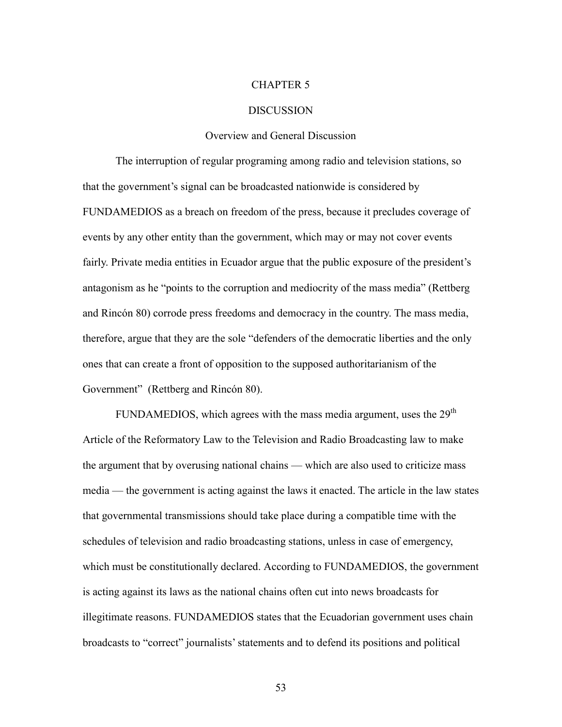#### CHAPTER 5

#### DISCUSSION

#### Overview and General Discussion

The interruption of regular programing among radio and television stations, so that the government's signal can be broadcasted nationwide is considered by FUNDAMEDIOS as a breach on freedom of the press, because it precludes coverage of events by any other entity than the government, which may or may not cover events fairly. Private media entities in Ecuador argue that the public exposure of the president's antagonism as he "points to the corruption and mediocrity of the mass media" (Rettberg and Rincón 80) corrode press freedoms and democracy in the country. The mass media, therefore, argue that they are the sole "defenders of the democratic liberties and the only ones that can create a front of opposition to the supposed authoritarianism of the Government" (Rettberg and Rincón 80).

FUNDAMEDIOS, which agrees with the mass media argument, uses the  $29<sup>th</sup>$ Article of the Reformatory Law to the Television and Radio Broadcasting law to make the argument that by overusing national chains — which are also used to criticize mass media — the government is acting against the laws it enacted. The article in the law states that governmental transmissions should take place during a compatible time with the schedules of television and radio broadcasting stations, unless in case of emergency, which must be constitutionally declared. According to FUNDAMEDIOS, the government is acting against its laws as the national chains often cut into news broadcasts for illegitimate reasons. FUNDAMEDIOS states that the Ecuadorian government uses chain broadcasts to "correct" journalists' statements and to defend its positions and political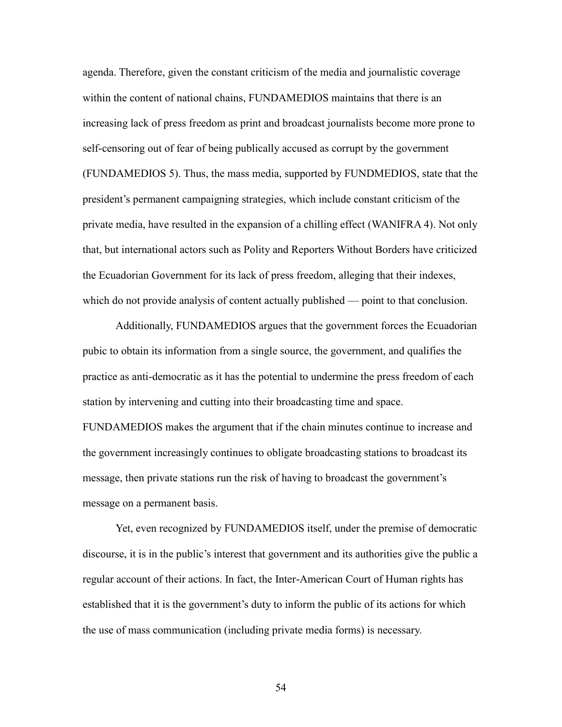agenda. Therefore, given the constant criticism of the media and journalistic coverage within the content of national chains, FUNDAMEDIOS maintains that there is an increasing lack of press freedom as print and broadcast journalists become more prone to self-censoring out of fear of being publically accused as corrupt by the government (FUNDAMEDIOS 5). Thus, the mass media, supported by FUNDMEDIOS, state that the president's permanent campaigning strategies, which include constant criticism of the private media, have resulted in the expansion of a chilling effect (WANIFRA 4). Not only that, but international actors such as Polity and Reporters Without Borders have criticized the Ecuadorian Government for its lack of press freedom, alleging that their indexes, which do not provide analysis of content actually published — point to that conclusion.

Additionally, FUNDAMEDIOS argues that the government forces the Ecuadorian pubic to obtain its information from a single source, the government, and qualifies the practice as anti-democratic as it has the potential to undermine the press freedom of each station by intervening and cutting into their broadcasting time and space.

FUNDAMEDIOS makes the argument that if the chain minutes continue to increase and the government increasingly continues to obligate broadcasting stations to broadcast its message, then private stations run the risk of having to broadcast the government's message on a permanent basis.

Yet, even recognized by FUNDAMEDIOS itself, under the premise of democratic discourse, it is in the public's interest that government and its authorities give the public a regular account of their actions. In fact, the Inter-American Court of Human rights has established that it is the government's duty to inform the public of its actions for which the use of mass communication (including private media forms) is necessary.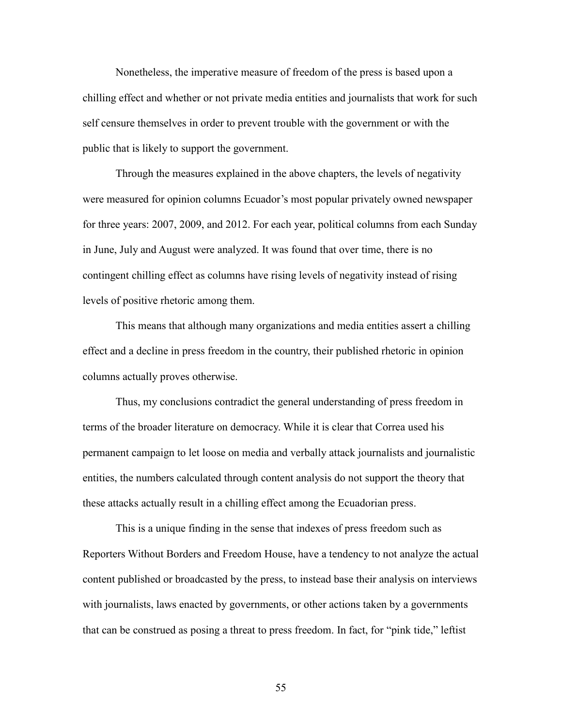Nonetheless, the imperative measure of freedom of the press is based upon a chilling effect and whether or not private media entities and journalists that work for such self censure themselves in order to prevent trouble with the government or with the public that is likely to support the government.

Through the measures explained in the above chapters, the levels of negativity were measured for opinion columns Ecuador's most popular privately owned newspaper for three years: 2007, 2009, and 2012. For each year, political columns from each Sunday in June, July and August were analyzed. It was found that over time, there is no contingent chilling effect as columns have rising levels of negativity instead of rising levels of positive rhetoric among them.

This means that although many organizations and media entities assert a chilling effect and a decline in press freedom in the country, their published rhetoric in opinion columns actually proves otherwise.

Thus, my conclusions contradict the general understanding of press freedom in terms of the broader literature on democracy. While it is clear that Correa used his permanent campaign to let loose on media and verbally attack journalists and journalistic entities, the numbers calculated through content analysis do not support the theory that these attacks actually result in a chilling effect among the Ecuadorian press.

This is a unique finding in the sense that indexes of press freedom such as Reporters Without Borders and Freedom House, have a tendency to not analyze the actual content published or broadcasted by the press, to instead base their analysis on interviews with journalists, laws enacted by governments, or other actions taken by a governments that can be construed as posing a threat to press freedom. In fact, for "pink tide," leftist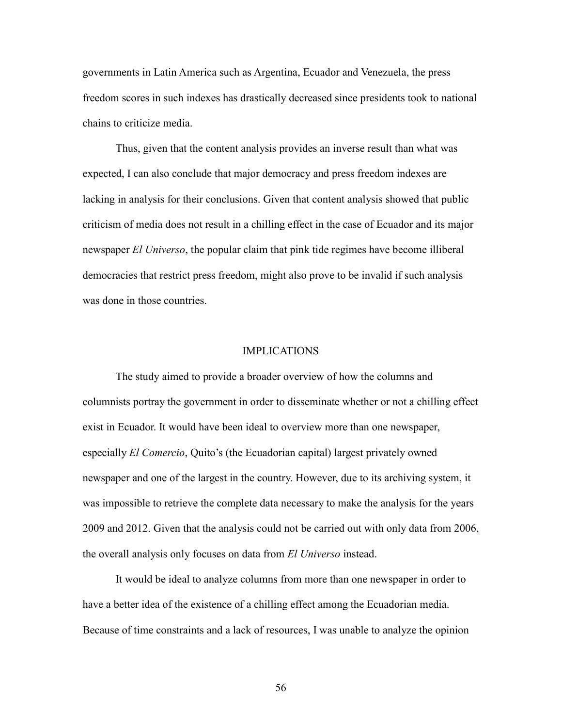governments in Latin America such as Argentina, Ecuador and Venezuela, the press freedom scores in such indexes has drastically decreased since presidents took to national chains to criticize media.

Thus, given that the content analysis provides an inverse result than what was expected, I can also conclude that major democracy and press freedom indexes are lacking in analysis for their conclusions. Given that content analysis showed that public criticism of media does not result in a chilling effect in the case of Ecuador and its major newspaper *El Universo*, the popular claim that pink tide regimes have become illiberal democracies that restrict press freedom, might also prove to be invalid if such analysis was done in those countries.

#### IMPLICATIONS

The study aimed to provide a broader overview of how the columns and columnists portray the government in order to disseminate whether or not a chilling effect exist in Ecuador. It would have been ideal to overview more than one newspaper, especially *El Comercio*, Quito's (the Ecuadorian capital) largest privately owned newspaper and one of the largest in the country. However, due to its archiving system, it was impossible to retrieve the complete data necessary to make the analysis for the years 2009 and 2012. Given that the analysis could not be carried out with only data from 2006, the overall analysis only focuses on data from *El Universo* instead.

It would be ideal to analyze columns from more than one newspaper in order to have a better idea of the existence of a chilling effect among the Ecuadorian media. Because of time constraints and a lack of resources, I was unable to analyze the opinion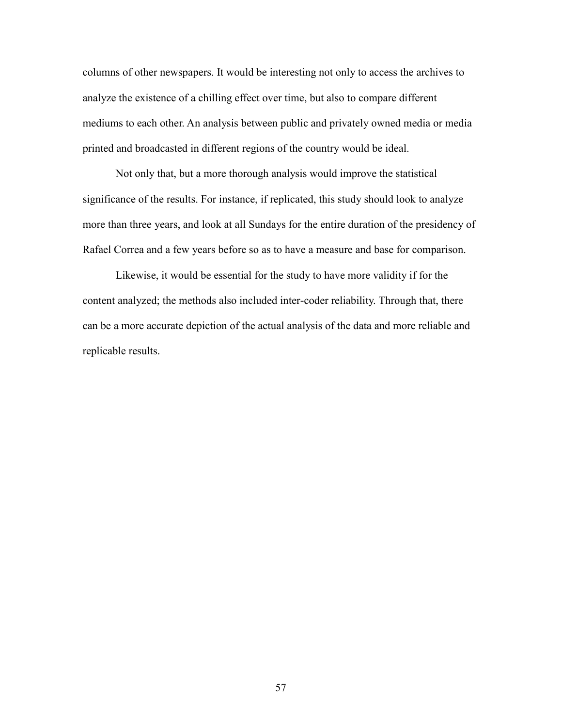columns of other newspapers. It would be interesting not only to access the archives to analyze the existence of a chilling effect over time, but also to compare different mediums to each other. An analysis between public and privately owned media or media printed and broadcasted in different regions of the country would be ideal.

Not only that, but a more thorough analysis would improve the statistical significance of the results. For instance, if replicated, this study should look to analyze more than three years, and look at all Sundays for the entire duration of the presidency of Rafael Correa and a few years before so as to have a measure and base for comparison.

Likewise, it would be essential for the study to have more validity if for the content analyzed; the methods also included inter-coder reliability. Through that, there can be a more accurate depiction of the actual analysis of the data and more reliable and replicable results.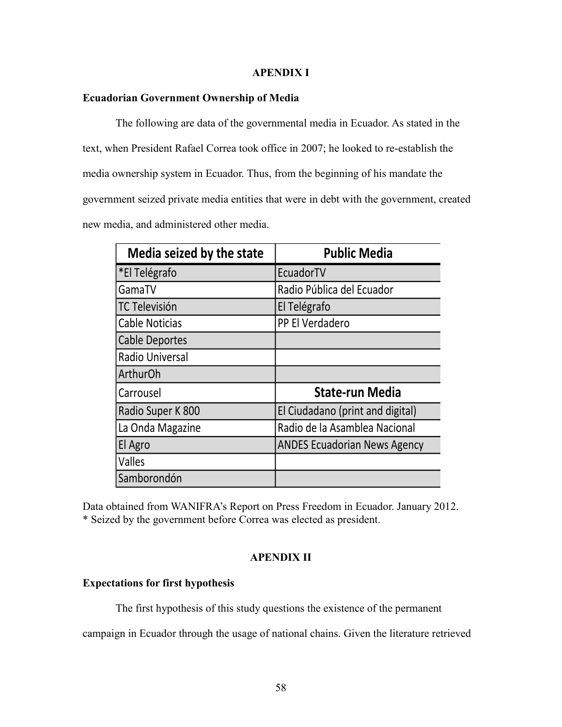# **APENDIX I**

# **Ecuadorian Government Ownership of Media**

The following are data of the governmental media in Ecuador. As stated in the text, when President Rafael Correa took office in 2007; he looked to re-establish the media ownership system in Ecuador. Thus, from the beginning of his mandate the government seized private media entities that were in debt with the government, created new media, and administered other media.

| Media seized by the state | <b>Public Media</b>                 |
|---------------------------|-------------------------------------|
| *El Telégrafo             | EcuadorTV                           |
| GamaTV                    | Radio Pública del Ecuador           |
| <b>TC Televisión</b>      | El Telégrafo                        |
| <b>Cable Noticias</b>     | PP El Verdadero                     |
| Cable Deportes            |                                     |
| <b>Radio Universal</b>    |                                     |
| <b>ArthurOh</b>           |                                     |
| Carrousel                 | <b>State-run Media</b>              |
| Radio Super K 800         | El Ciudadano (print and digital)    |
| La Onda Magazine          | Radio de la Asamblea Nacional       |
| El Agro                   | <b>ANDES Ecuadorian News Agency</b> |
| <b>Valles</b>             |                                     |
| Samborondón               |                                     |

Data obtained from WANIFRA's Report on Press Freedom in Ecuador. January 2012. \* Seized by the government before Correa was elected as president.

# **APENDIX II**

# **Expectations for first hypothesis**

The first hypothesis of this study questions the existence of the permanent

campaign in Ecuador through the usage of national chains. Given the literature retrieved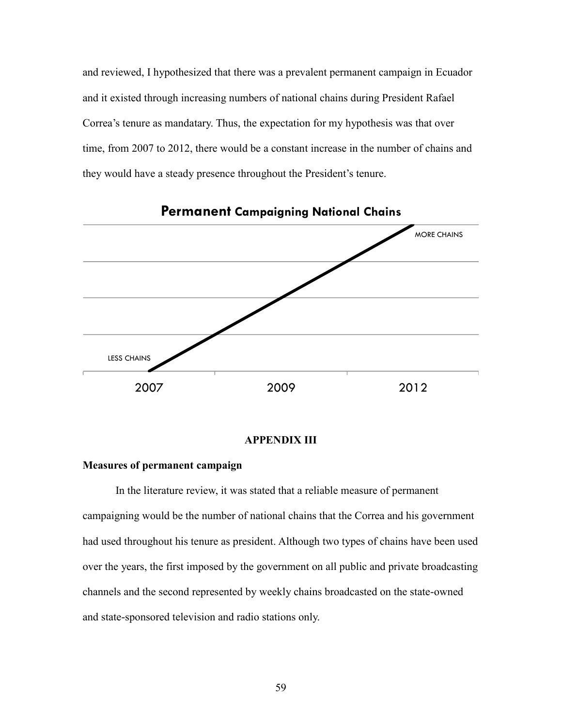and reviewed, I hypothesized that there was a prevalent permanent campaign in Ecuador and it existed through increasing numbers of national chains during President Rafael Correa's tenure as mandatary. Thus, the expectation for my hypothesis was that over time, from 2007 to 2012, there would be a constant increase in the number of chains and they would have a steady presence throughout the President's tenure.



# **APPENDIX III**

#### **Measures of permanent campaign**

In the literature review, it was stated that a reliable measure of permanent campaigning would be the number of national chains that the Correa and his government had used throughout his tenure as president. Although two types of chains have been used over the years, the first imposed by the government on all public and private broadcasting channels and the second represented by weekly chains broadcasted on the state-owned and state-sponsored television and radio stations only.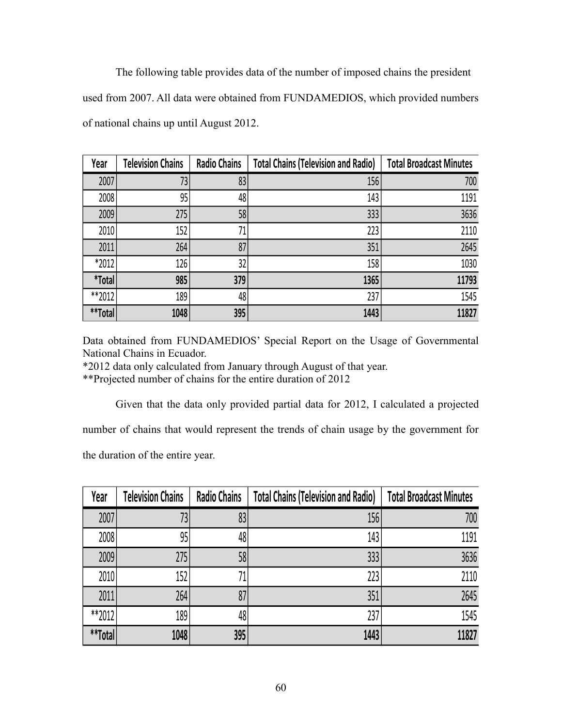The following table provides data of the number of imposed chains the president used from 2007. All data were obtained from FUNDAMEDIOS, which provided numbers of national chains up until August 2012.

| Year                 | <b>Television Chains</b> | <b>Radio Chains</b> | <b>Total Chains (Television and Radio)</b> | <b>Total Broadcast Minutes</b> |
|----------------------|--------------------------|---------------------|--------------------------------------------|--------------------------------|
| 2007                 | 73                       | 83                  | 156                                        | 700                            |
| 2008                 | 95                       | 48                  | 143                                        | 1191                           |
| 2009                 | 275                      | 58                  | 333                                        | 3636                           |
| 2010                 | 152                      | 71                  | 223                                        | 2110                           |
| 2011                 | 264                      | 87                  | 351                                        | 2645                           |
| *2012                | 126                      | 32                  | 158                                        | 1030                           |
| <i><b>*Total</b></i> | 985                      | 379                 | 1365                                       | 11793                          |
| **2012               | 189                      | 48                  | 237                                        | 1545                           |
| **Total              | 1048                     | 395                 | 1443                                       | 11827                          |

Data obtained from FUNDAMEDIOS' Special Report on the Usage of Governmental National Chains in Ecuador.

\*2012 data only calculated from January through August of that year.

\*\*Projected number of chains for the entire duration of 2012

Given that the data only provided partial data for 2012, I calculated a projected

number of chains that would represent the trends of chain usage by the government for

the duration of the entire year.

| Year    | <b>Television Chains</b> | <b>Radio Chains</b> | <b>Total Chains (Television and Radio)</b> | <b>Total Broadcast Minutes</b> |
|---------|--------------------------|---------------------|--------------------------------------------|--------------------------------|
| 2007    | 731                      | 83                  | 156                                        | 700                            |
| 2008    | 95                       | 48                  | 143                                        | 1191                           |
| 2009    | 275                      | 58                  | 333                                        | 3636                           |
| 2010    | 152                      | 71                  | 223                                        | 2110                           |
| 2011    | 264                      | 87                  | 351                                        | 2645                           |
| **2012  | 189                      | 48                  | 237                                        | 1545                           |
| **Total | 1048                     | 395                 | 1443                                       | 11827                          |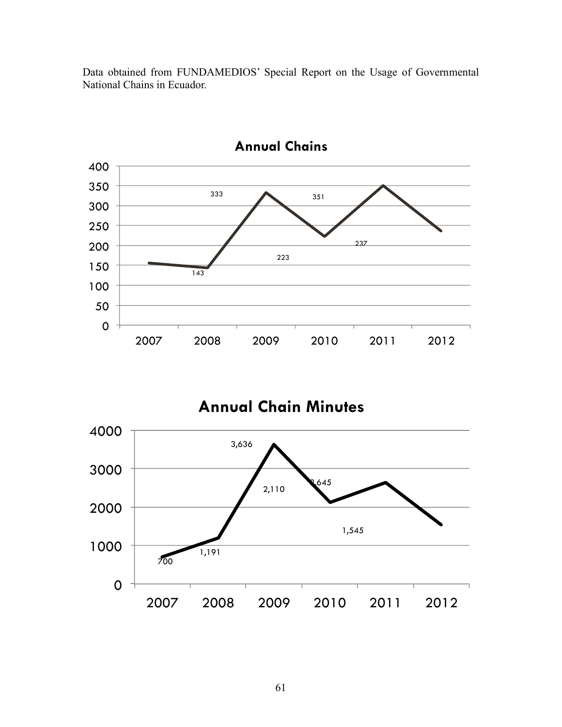Data obtained from FUNDAMEDIOS' Special Report on the Usage of Governmental National Chains in Ecuador.



**Annual Chains**

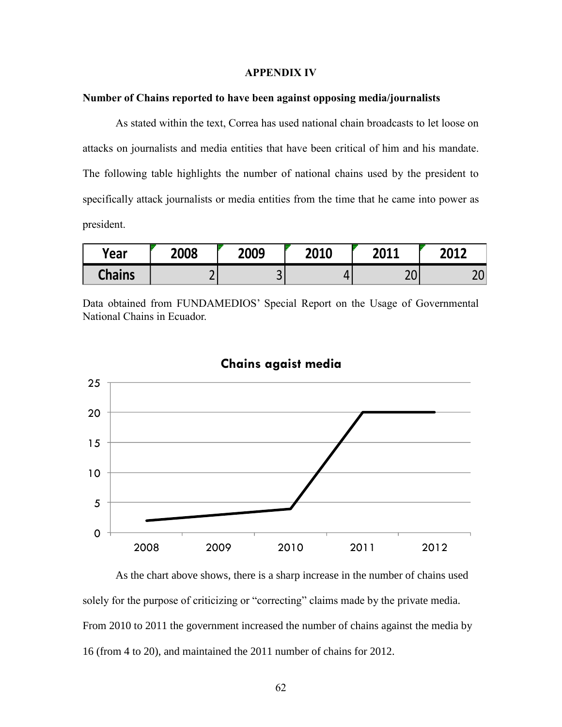#### **APPENDIX IV**

# **Number of Chains reported to have been against opposing media/journalists**

As stated within the text, Correa has used national chain broadcasts to let loose on attacks on journalists and media entities that have been critical of him and his mandate. The following table highlights the number of national chains used by the president to specifically attack journalists or media entities from the time that he came into power as president.

| Year          | 2008 | 2009   | 2010 | $2011$<br>LUIL    | <b>2012</b><br>-- |
|---------------|------|--------|------|-------------------|-------------------|
| <b>Chains</b> |      | ⌒<br>پ |      | $\mathbf{a}$<br>ᇰ | $\cap$<br>∼       |

Data obtained from FUNDAMEDIOS' Special Report on the Usage of Governmental National Chains in Ecuador.



# **Chains agaist media**

As the chart above shows, there is a sharp increase in the number of chains used solely for the purpose of criticizing or "correcting" claims made by the private media. From 2010 to 2011 the government increased the number of chains against the media by 16 (from 4 to 20), and maintained the 2011 number of chains for 2012.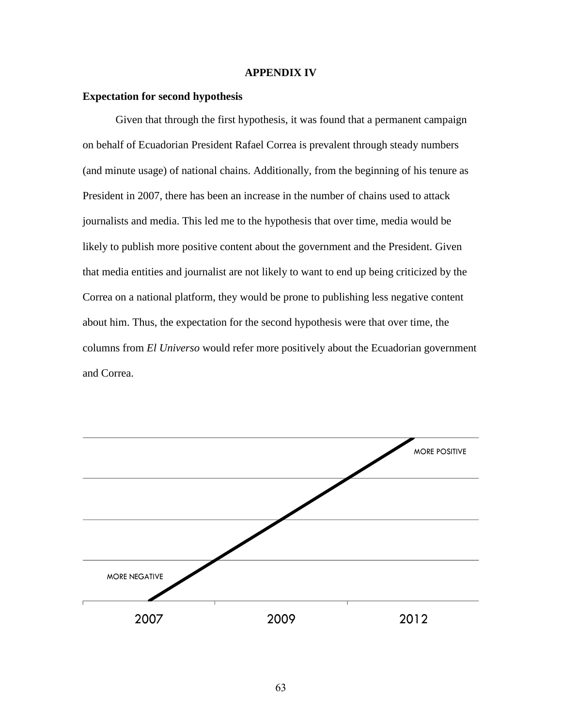#### **APPENDIX IV**

### **Expectation for second hypothesis**

Given that through the first hypothesis, it was found that a permanent campaign on behalf of Ecuadorian President Rafael Correa is prevalent through steady numbers (and minute usage) of national chains. Additionally, from the beginning of his tenure as President in 2007, there has been an increase in the number of chains used to attack journalists and media. This led me to the hypothesis that over time, media would be likely to publish more positive content about the government and the President. Given that media entities and journalist are not likely to want to end up being criticized by the Correa on a national platform, they would be prone to publishing less negative content about him. Thus, the expectation for the second hypothesis were that over time, the columns from *El Universo* would refer more positively about the Ecuadorian government and Correa.

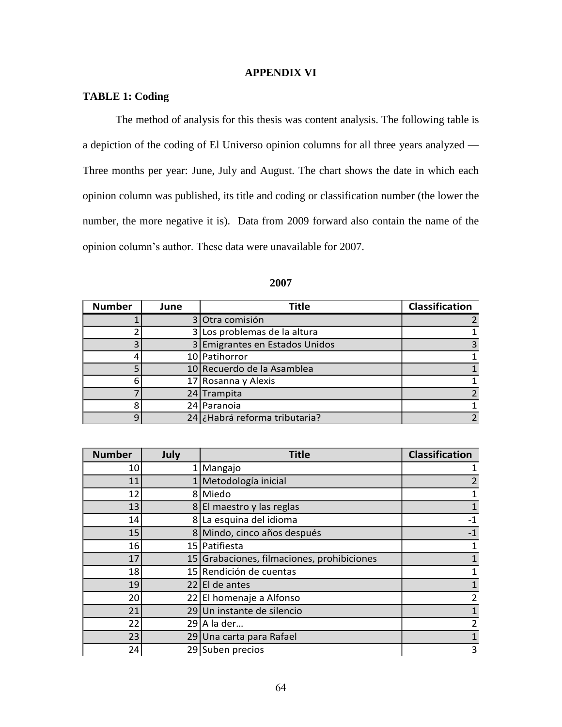## **APPENDIX VI**

# **TABLE 1: Coding**

The method of analysis for this thesis was content analysis. The following table is a depiction of the coding of El Universo opinion columns for all three years analyzed — Three months per year: June, July and August. The chart shows the date in which each opinion column was published, its title and coding or classification number (the lower the number, the more negative it is). Data from 2009 forward also contain the name of the opinion column's author. These data were unavailable for 2007.

| <b>Number</b> | June | <b>Title</b>                   | Classification |
|---------------|------|--------------------------------|----------------|
|               |      | 3 Otra comisión                |                |
|               |      | 3 Los problemas de la altura   |                |
|               |      | 3 Emigrantes en Estados Unidos |                |
|               |      | 10 Patihorror                  |                |
|               |      | 10 Recuerdo de la Asamblea     |                |
| 6             |      | 17 Rosanna y Alexis            |                |
|               |      | 24 Trampita                    |                |
| 8             |      | 24 Paranoia                    |                |
| q             |      | 24 ¿Habrá reforma tributaria?  |                |

| <b>Number</b> | July | <b>Title</b>                               | <b>Classification</b> |
|---------------|------|--------------------------------------------|-----------------------|
| 10            |      | 1   Mangajo                                |                       |
| 11            |      | 1 Metodología inicial                      | $\overline{2}$        |
| 12            |      | 8 Miedo                                    |                       |
| 13            |      | 8 El maestro y las reglas                  | $\mathbf{1}$          |
| 14            |      | 8 La esquina del idioma                    | $-1$                  |
| 15            |      | 8 Mindo, cinco años después                | $-1$                  |
| 16            |      | 15 Patifiesta                              | 1                     |
| 17            |      | 15 Grabaciones, filmaciones, prohibiciones | 1                     |
| 18            |      | 15 Rendición de cuentas                    |                       |
| 19            |      | $22$ El de antes                           | 1                     |
| 20            |      | 22 El homenaje a Alfonso                   | $\overline{2}$        |
| 21            |      | 29 Un instante de silencio                 |                       |
| 22            |      | $29$   A la der                            | $\overline{2}$        |
| 23            |      | 29 Una carta para Rafael                   | $\mathbf{1}$          |
| 24            |      | 29 Suben precios                           | 3                     |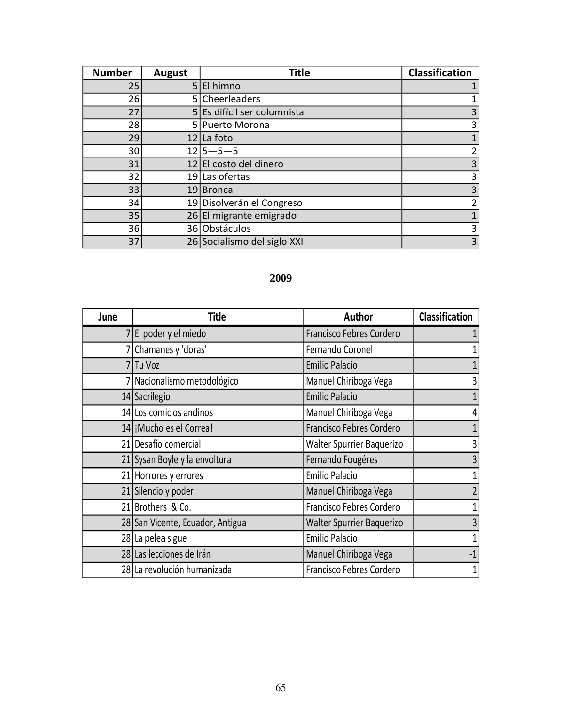| <b>Number</b> | <b>August</b> | <b>Title</b>                | <b>Classification</b> |
|---------------|---------------|-----------------------------|-----------------------|
| 25            | 5.            | El himno                    |                       |
| 26            | 51            | Cheerleaders                |                       |
| 27            |               | 5 Es difícil ser columnista | $\overline{3}$        |
| 28            |               | 5 Puerto Morona             | 3                     |
| 29            | 12            | La foto                     |                       |
| 30            |               | $12 5 - 5 - 5$              | $\overline{2}$        |
| 31            |               | 12 El costo del dinero      | 3                     |
| 32            |               | 19 Las ofertas              | 3                     |
| 33            | 19 I          | <b>Bronca</b>               | 3                     |
| 34            | 191           | Disolverán el Congreso      | $\overline{2}$        |
| 35            |               | 26 El migrante emigrado     |                       |
| 36            |               | 36 Obstáculos               | 3                     |
| 37            |               | 26 Socialismo del siglo XXI | 3                     |

| June | <b>Title</b>                     | Author                    | Classification |
|------|----------------------------------|---------------------------|----------------|
|      | 7 El poder y el miedo            | Francisco Febres Cordero  |                |
|      | 7 Chamanes y 'doras'             | Fernando Coronel          | 1              |
|      | 7Tu Voz                          | <b>Emilio Palacio</b>     | 1              |
|      | 7 Nacionalismo metodológico      | Manuel Chiriboga Vega     | 3              |
|      | 14 Sacrilegio                    | <b>Emilio Palacio</b>     | $\mathbf{1}$   |
|      | 14 Los comicios andinos          | Manuel Chiriboga Vega     | 4              |
|      | 14   Mucho es el Correa!         | Francisco Febres Cordero  | $\mathbf{1}$   |
|      | 21 Desafío comercial             | Walter Spurrier Baquerizo | 3              |
|      | 21 Sysan Boyle y la envoltura    | Fernando Fougéres         | $\overline{3}$ |
|      | 21 Horrores y errores            | <b>Emilio Palacio</b>     | $\mathbf 1$    |
|      | 21 Silencio y poder              | Manuel Chiriboga Vega     | $\overline{2}$ |
|      | 21 Brothers & Co.                | Francisco Febres Cordero  | $\mathbf{1}$   |
|      | 28 San Vicente, Ecuador, Antigua | Walter Spurrier Baquerizo | $\overline{3}$ |
|      | 28 La pelea sigue                | <b>Emilio Palacio</b>     | $\mathbf{1}$   |
|      | 28 Las lecciones de Irán         | Manuel Chiriboga Vega     | $-1$           |
|      | 28 La revolución humanizada      | Francisco Febres Cordero  | 1              |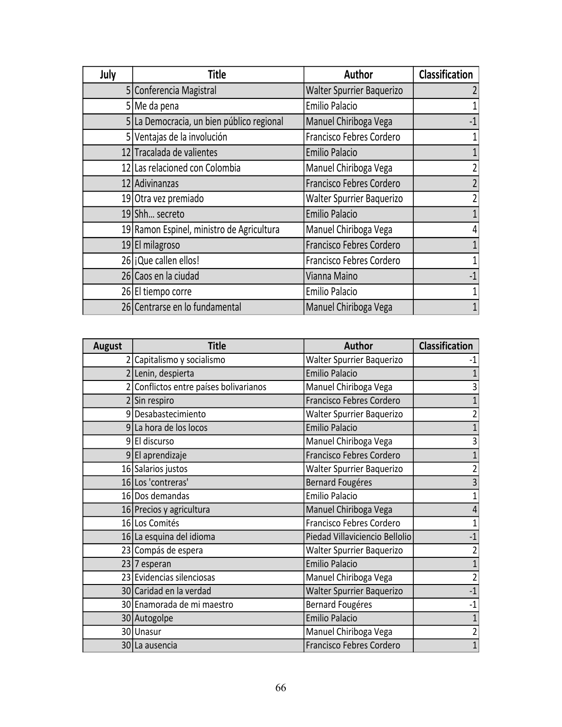| July | <b>Title</b>                              | Author                    | <b>Classification</b> |
|------|-------------------------------------------|---------------------------|-----------------------|
|      | 5 Conferencia Magistral                   | Walter Spurrier Baquerizo | 2                     |
|      | 5 Me da pena                              | Emilio Palacio            |                       |
|      | 5 La Democracia, un bien público regional | Manuel Chiriboga Vega     | $-1$                  |
|      | 5 Ventajas de la involución               | Francisco Febres Cordero  | 1                     |
|      | 12 Tracalada de valientes                 | <b>Emilio Palacio</b>     |                       |
|      | 12 Las relacioned con Colombia            | Manuel Chiriboga Vega     | $\overline{2}$        |
|      | 12 Adivinanzas                            | Francisco Febres Cordero  | $\overline{2}$        |
|      | 19 Otra vez premiado                      | Walter Spurrier Baquerizo | $\overline{2}$        |
|      | 19 Shh secreto                            | <b>Emilio Palacio</b>     | $\overline{1}$        |
|      | 19 Ramon Espinel, ministro de Agricultura | Manuel Chiriboga Vega     | 4                     |
|      | 19 El milagroso                           | Francisco Febres Cordero  | $\mathbf{1}$          |
|      | 26 jQue callen ellos!                     | Francisco Febres Cordero  | $\mathbf 1$           |
|      | 26 Caos en la ciudad                      | Vianna Maino              | $-1$                  |
|      | 26 El tiempo corre                        | Emilio Palacio            | 1                     |
|      | 26 Centrarse en lo fundamental            | Manuel Chiriboga Vega     | 1                     |

| <b>August</b> | <b>Title</b>                           | <b>Author</b>                  | <b>Classification</b> |
|---------------|----------------------------------------|--------------------------------|-----------------------|
|               | 2 Capitalismo y socialismo             | Walter Spurrier Baquerizo      | $-1$                  |
|               | 2 Lenin, despierta                     | <b>Emilio Palacio</b>          | $\mathbf{1}$          |
|               | 2 Conflictos entre países bolivarianos | Manuel Chiriboga Vega          | 3                     |
|               | $2$ Sin respiro                        | Francisco Febres Cordero       | $\mathbf{1}$          |
|               | 9 Desabastecimiento                    | Walter Spurrier Baquerizo      | $\overline{2}$        |
|               | 9 La hora de los locos                 | <b>Emilio Palacio</b>          | $\mathbf{1}$          |
|               | $9 E $ discurso                        | Manuel Chiriboga Vega          | 3                     |
|               | 9 El aprendizaje                       | Francisco Febres Cordero       | $\mathbf{1}$          |
|               | 16 Salarios justos                     | Walter Spurrier Baquerizo      | $\overline{2}$        |
|               | 16 Los 'contreras'                     | <b>Bernard Fougéres</b>        | 3                     |
|               | 16 Dos demandas                        | <b>Emilio Palacio</b>          | $\mathbf{1}$          |
|               | 16 Precios y agricultura               | Manuel Chiriboga Vega          | $\overline{4}$        |
|               | 16 Los Comités                         | Francisco Febres Cordero       | $\mathbf{1}$          |
|               | 16 La esquina del idioma               | Piedad Villaviciencio Bellolio | $-1$                  |
|               | 23 Compás de espera                    | Walter Spurrier Baquerizo      | $\overline{2}$        |
|               | $23 7$ esperan                         | <b>Emilio Palacio</b>          | $\mathbf{1}$          |
|               | 23 Evidencias silenciosas              | Manuel Chiriboga Vega          | $\overline{2}$        |
|               | 30 Caridad en la verdad                | Walter Spurrier Baquerizo      | $-1$                  |
|               | 30 Enamorada de mi maestro             | <b>Bernard Fougéres</b>        | $-1$                  |
|               | 30 Autogolpe                           | <b>Emilio Palacio</b>          | $\mathbf{1}$          |
|               | 30 Unasur                              | Manuel Chiriboga Vega          | $\overline{2}$        |
|               | 30 La ausencia                         | Francisco Febres Cordero       | $\mathbf{1}$          |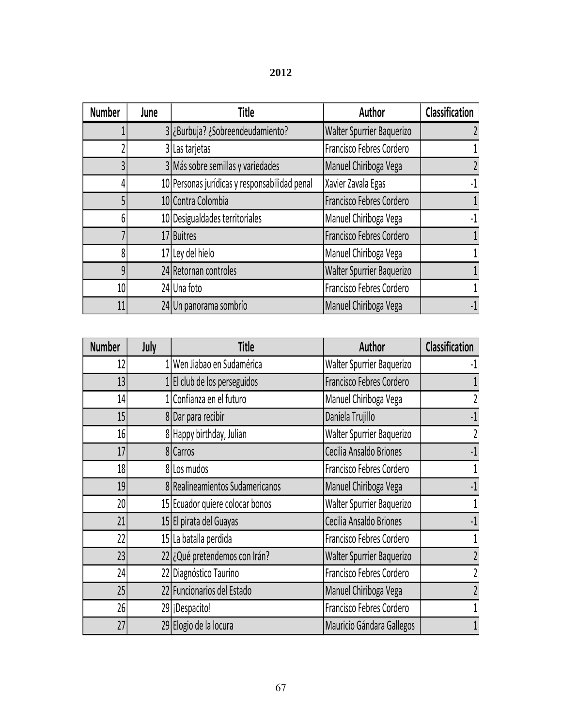| <b>Number</b>   | June | Title                                                                | Author                           | Classification |
|-----------------|------|----------------------------------------------------------------------|----------------------------------|----------------|
|                 |      | 3 ¿Burbuja? ¿Sobreendeudamiento?<br><b>Walter Spurrier Baquerizo</b> |                                  |                |
|                 |      | Francisco Febres Cordero<br>3 Las tarjetas                           |                                  |                |
|                 |      | 3 Más sobre semillas y variedades<br>Manuel Chiriboga Vega           |                                  | $\overline{2}$ |
|                 |      | 10 Personas jurídicas y responsabilidad penal                        | Xavier Zavala Egas               | $-1$           |
|                 |      | 10 Contra Colombia                                                   | Francisco Febres Cordero         |                |
| 6               |      | 10 Desigualdades territoriales                                       | Manuel Chiriboga Vega            | $-1$           |
|                 |      | 17 Buitres                                                           | Francisco Febres Cordero         |                |
|                 |      | 17 Ley del hielo                                                     | Manuel Chiriboga Vega            |                |
| 9               |      | 24 Retornan controles                                                | <b>Walter Spurrier Baquerizo</b> |                |
| 10 <sup>1</sup> |      | 24 Una foto                                                          | Francisco Febres Cordero         |                |
| 11              |      | 24 Un panorama sombrío                                               | Manuel Chiriboga Vega            | $-1$           |

| <b>Number</b>   | July | <b>Title</b>                    | Author                    | <b>Classification</b> |
|-----------------|------|---------------------------------|---------------------------|-----------------------|
| 12              |      | 1   Wen Jiabao en Sudamérica    | Walter Spurrier Baquerizo | $-1$                  |
| 13              |      | 1 El club de los perseguidos    | Francisco Febres Cordero  |                       |
| 14              |      | 1 Confianza en el futuro        | Manuel Chiriboga Vega     | 2                     |
| 15              |      | 8 Dar para recibir              | Daniela Trujillo          | $-1$                  |
| 16              |      | 8 Happy birthday, Julian        | Walter Spurrier Baquerizo | $\overline{2}$        |
| 17              |      | 8 Carros                        | Cecilia Ansaldo Briones   | $-1$                  |
| 18 <sub>l</sub> |      | 8 Los mudos                     | Francisco Febres Cordero  | 1                     |
| 19              |      | 8 Realineamientos Sudamericanos | Manuel Chiriboga Vega     | $-1$                  |
| 20              |      | 15 Ecuador quiere colocar bonos | Walter Spurrier Baquerizo | 1                     |
| 21              |      | 15 El pirata del Guayas         | Cecilia Ansaldo Briones   | $-1$                  |
| 22              |      | 15 La batalla perdida           | Francisco Febres Cordero  | 1                     |
| 23              |      | 22 ¿Qué pretendemos con Irán?   | Walter Spurrier Baquerizo | $\overline{2}$        |
| 24              |      | 22 Diagnóstico Taurino          | Francisco Febres Cordero  |                       |
| 25              |      | 22 Funcionarios del Estado      | Manuel Chiriboga Vega     |                       |
| 26              |      | 29   iDespacito!                | Francisco Febres Cordero  |                       |
| 27              |      | 29 Elogio de la locura          | Mauricio Gándara Gallegos |                       |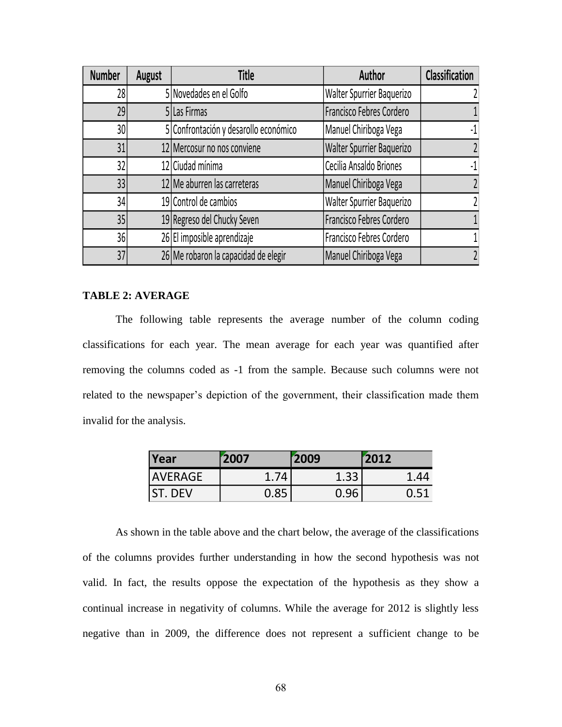| <b>Number</b> | <b>August</b> | <b>Title</b>                          | Author                           | <b>Classification</b> |
|---------------|---------------|---------------------------------------|----------------------------------|-----------------------|
| 28            |               | 5 Novedades en el Golfo               | Walter Spurrier Baquerizo        |                       |
| 29            |               | 5 Las Firmas                          | Francisco Febres Cordero         |                       |
| 30            |               | 5 Confrontación y desarollo económico | Manuel Chiriboga Vega            | $-1$                  |
| 31            |               | 12 Mercosur no nos conviene           | <b>Walter Spurrier Baquerizo</b> | $\overline{2}$        |
| 32            |               | 12 Ciudad mínima                      | Cecilia Ansaldo Briones          | $-1$                  |
| 33            |               | 12 Me aburren las carreteras          | Manuel Chiriboga Vega            | $\overline{2}$        |
| 34            |               | 19 Control de cambios                 | Walter Spurrier Baquerizo        | 2                     |
| 35            |               | 19 Regreso del Chucky Seven           | Francisco Febres Cordero         |                       |
| 36            |               | 26 El imposible aprendizaje           | Francisco Febres Cordero         |                       |
| 37            |               | 26 Me robaron la capacidad de elegir  | Manuel Chiriboga Vega            |                       |

## **TABLE 2: AVERAGE**

The following table represents the average number of the column coding classifications for each year. The mean average for each year was quantified after removing the columns coded as -1 from the sample. Because such columns were not related to the newspaper's depiction of the government, their classification made them invalid for the analysis.

| Year           | 2007 | 2009 | 2012 |
|----------------|------|------|------|
| <b>AVERAGE</b> | 1.74 | 1.33 |      |
| <b>ST. DEV</b> | 0.85 |      | 0.51 |

As shown in the table above and the chart below, the average of the classifications of the columns provides further understanding in how the second hypothesis was not valid. In fact, the results oppose the expectation of the hypothesis as they show a continual increase in negativity of columns. While the average for 2012 is slightly less negative than in 2009, the difference does not represent a sufficient change to be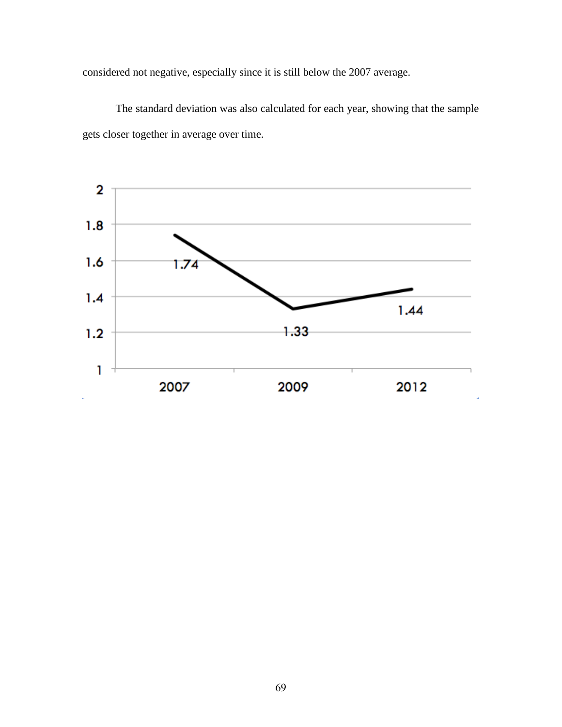considered not negative, especially since it is still below the 2007 average.

The standard deviation was also calculated for each year, showing that the sample gets closer together in average over time.

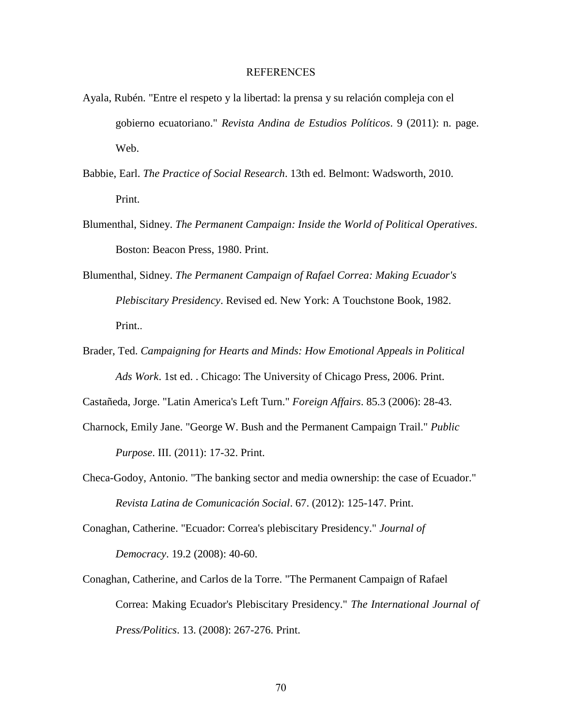## REFERENCES

- Ayala, Rubén. "Entre el respeto y la libertad: la prensa y su relación compleja con el gobierno ecuatoriano." *Revista Andina de Estudios Políticos*. 9 (2011): n. page. Web.
- Babbie, Earl. *The Practice of Social Research*. 13th ed. Belmont: Wadsworth, 2010. Print.
- Blumenthal, Sidney. *The Permanent Campaign: Inside the World of Political Operatives*. Boston: Beacon Press, 1980. Print.
- Blumenthal, Sidney. *The Permanent Campaign of Rafael Correa: Making Ecuador's Plebiscitary Presidency*. Revised ed. New York: A Touchstone Book, 1982. Print..
- Brader, Ted. *Campaigning for Hearts and Minds: How Emotional Appeals in Political Ads Work*. 1st ed. . Chicago: The University of Chicago Press, 2006. Print.

Castañeda, Jorge. "Latin America's Left Turn." *Foreign Affairs*. 85.3 (2006): 28-43.

- Charnock, Emily Jane. "George W. Bush and the Permanent Campaign Trail." *Public Purpose*. III. (2011): 17-32. Print.
- Checa-Godoy, Antonio. "The banking sector and media ownership: the case of Ecuador." *Revista Latina de Comunicación Social*. 67. (2012): 125-147. Print.

Conaghan, Catherine. "Ecuador: Correa's plebiscitary Presidency." *Journal of Democracy*. 19.2 (2008): 40-60.

Conaghan, Catherine, and Carlos de la Torre. "The Permanent Campaign of Rafael Correa: Making Ecuador's Plebiscitary Presidency." *The International Journal of Press/Politics*. 13. (2008): 267-276. Print.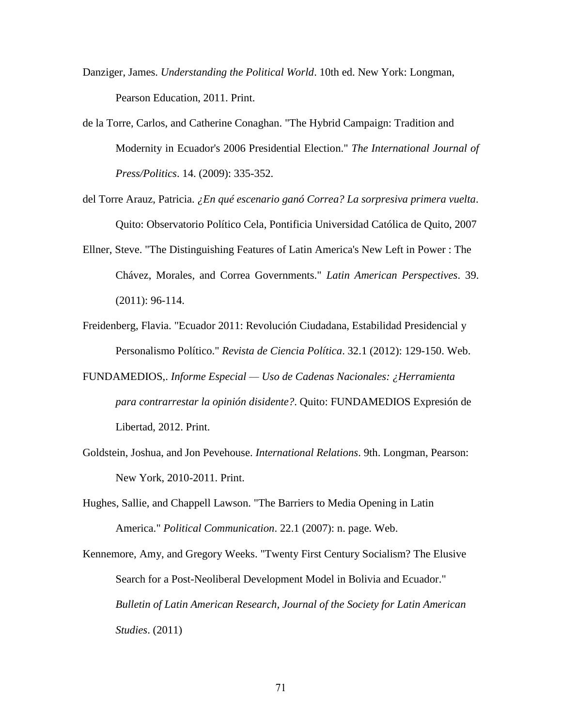- Danziger, James. *Understanding the Political World*. 10th ed. New York: Longman, Pearson Education, 2011. Print.
- de la Torre, Carlos, and Catherine Conaghan. "The Hybrid Campaign: Tradition and Modernity in Ecuador's 2006 Presidential Election." *The International Journal of Press/Politics*. 14. (2009): 335-352.
- del Torre Arauz, Patricia. *¿En qué escenario ganó Correa? La sorpresiva primera vuelta*. Quito: Observatorio Político Cela, Pontificia Universidad Católica de Quito, 2007
- Ellner, Steve. "The Distinguishing Features of Latin America's New Left in Power : The Chávez, Morales, and Correa Governments." *Latin American Perspectives*. 39. (2011): 96-114.
- Freidenberg, Flavia. "Ecuador 2011: Revolución Ciudadana, Estabilidad Presidencial y Personalismo Político." *Revista de Ciencia Política*. 32.1 (2012): 129-150. Web.
- FUNDAMEDIOS,. *Informe Especial — Uso de Cadenas Nacionales: ¿Herramienta para contrarrestar la opinión disidente?*. Quito: FUNDAMEDIOS Expresión de Libertad, 2012. Print.
- Goldstein, Joshua, and Jon Pevehouse. *International Relations*. 9th. Longman, Pearson: New York, 2010-2011. Print.
- Hughes, Sallie, and Chappell Lawson. "The Barriers to Media Opening in Latin America." *Political Communication*. 22.1 (2007): n. page. Web.
- Kennemore, Amy, and Gregory Weeks. "Twenty First Century Socialism? The Elusive Search for a Post-Neoliberal Development Model in Bolivia and Ecuador." *Bulletin of Latin American Research, Journal of the Society for Latin American Studies*. (2011)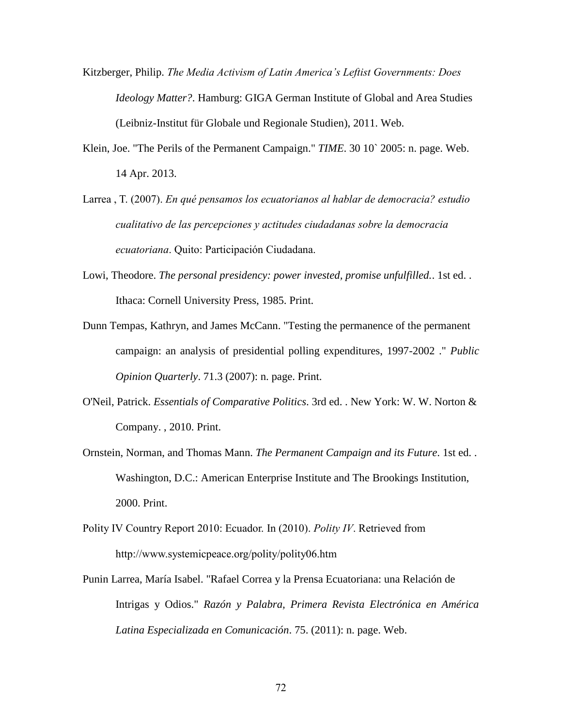- Kitzberger, Philip. *The Media Activism of Latin America's Leftist Governments: Does Ideology Matter?*. Hamburg: GIGA German Institute of Global and Area Studies (Leibniz-Institut für Globale und Regionale Studien), 2011. Web.
- Klein, Joe. "The Perils of the Permanent Campaign." *TIME*. 30 10` 2005: n. page. Web. 14 Apr. 2013.
- Larrea , T. (2007). *En qué pensamos los ecuatorianos al hablar de democracia? estudio cualitativo de las percepciones y actitudes ciudadanas sobre la democracia ecuatoriana*. Quito: Participación Ciudadana.
- Lowi, Theodore. *The personal presidency: power invested, promise unfulfilled.*. 1st ed. . Ithaca: Cornell University Press, 1985. Print.
- Dunn Tempas, Kathryn, and James McCann. "Testing the permanence of the permanent campaign: an analysis of presidential polling expenditures, 1997-2002 ." *Public Opinion Quarterly*. 71.3 (2007): n. page. Print.
- O'Neil, Patrick. *Essentials of Comparative Politics*. 3rd ed. . New York: W. W. Norton & Company. , 2010. Print.
- Ornstein, Norman, and Thomas Mann. *The Permanent Campaign and its Future*. 1st ed. . Washington, D.C.: American Enterprise Institute and The Brookings Institution, 2000. Print.
- Polity IV Country Report 2010: Ecuador. In (2010). *Polity IV*. Retrieved from <http://www.systemicpeace.org/polity/polity06.htm>
- Punin Larrea, María Isabel. "Rafael Correa y la Prensa Ecuatoriana: una Relación de Intrigas y Odios." *Razón y Palabra, Primera Revista Electrónica en América Latina Especializada en Comunicación*. 75. (2011): n. page. Web.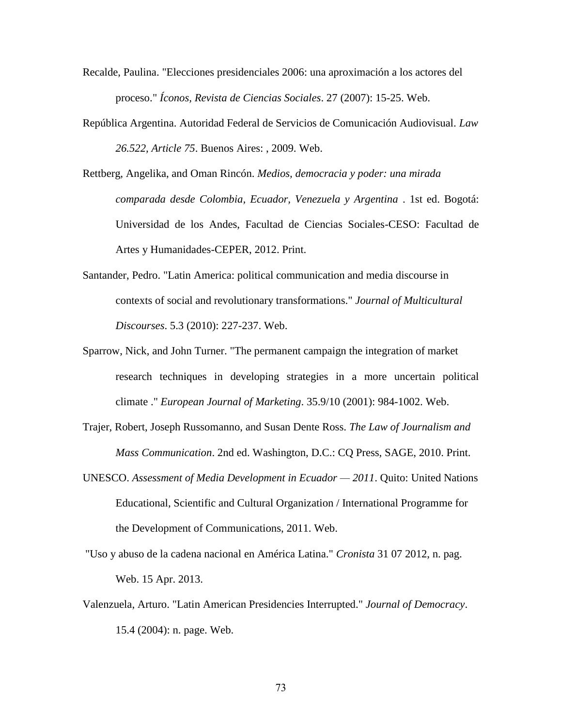- Recalde, Paulina. "Elecciones presidenciales 2006: una aproximación a los actores del proceso." *Íconos, Revista de Ciencias Sociales*. 27 (2007): 15-25. Web.
- República Argentina. Autoridad Federal de Servicios de Comunicación Audiovisual. *Law 26.522, Article 75*. Buenos Aires: , 2009. Web.
- Rettberg, Angelika, and Oman Rincón. *Medios, democracia y poder: una mirada comparada desde Colombia, Ecuador, Venezuela y Argentina* . 1st ed. Bogotá: Universidad de los Andes, Facultad de Ciencias Sociales-CESO: Facultad de Artes y Humanidades-CEPER, 2012. Print.
- Santander, Pedro. "Latin America: political communication and media discourse in contexts of social and revolutionary transformations." *Journal of Multicultural Discourses*. 5.3 (2010): 227-237. Web.
- Sparrow, Nick, and John Turner. "The permanent campaign the integration of market research techniques in developing strategies in a more uncertain political climate ." *European Journal of Marketing*. 35.9/10 (2001): 984-1002. Web.
- Trajer, Robert, Joseph Russomanno, and Susan Dente Ross. *The Law of Journalism and Mass Communication*. 2nd ed. Washington, D.C.: CQ Press, SAGE, 2010. Print.
- UNESCO. *Assessment of Media Development in Ecuador — 2011*. Quito: United Nations Educational, Scientific and Cultural Organization / International Programme for the Development of Communications, 2011. Web.
- "Uso y abuso de la cadena nacional en América Latina." *Cronista* 31 07 2012, n. pag. Web. 15 Apr. 2013.
- Valenzuela, Arturo. "Latin American Presidencies Interrupted." *Journal of Democracy*. 15.4 (2004): n. page. Web.